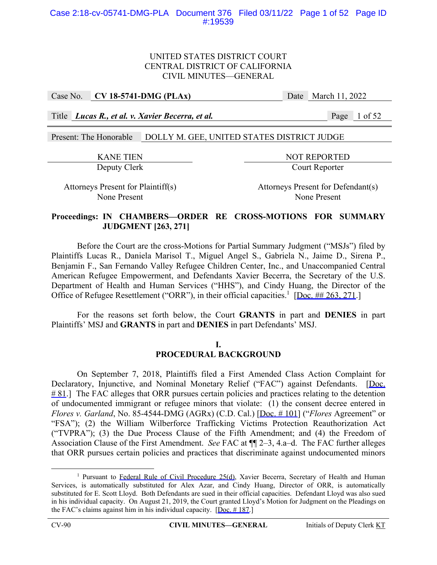# UNITED STATES DISTRICT COURT CENTRAL DISTRICT OF CALIFORNIA CIVIL MINUTES—GENERAL

Case No. **CV 18-5741-DMG (PLAx)** Date March 11, 2022

Title *Lucas R., et al. v. Xavier Becerra, et al.* Page 1 of 52

Present: The Honorable DOLLY M. GEE, UNITED STATES DISTRICT JUDGE

KANE TIEN NOT REPORTED Deputy Clerk Court Reporter

Attorneys Present for Plaintiff(s) Attorneys Present for Defendant(s) None Present None Present

# **Proceedings: IN CHAMBERS—ORDER RE CROSS-MOTIONS FOR SUMMARY JUDGMENT [263, 271]**

 Before the Court are the cross-Motions for Partial Summary Judgment ("MSJs") filed by Plaintiffs Lucas R., Daniela Marisol T., Miguel Angel S., Gabriela N., Jaime D., Sirena P., Benjamin F., San Fernando Valley Refugee Children Center, Inc., and Unaccompanied Central American Refugee Empowerment, and Defendants Xavier Becerra, the Secretary of the U.S. Department of Health and Human Services ("HHS"), and Cindy Huang, the Director of the Office of Refugee Resettlement ("ORR"), in their official capacities.<sup>1</sup> [Doc. ## 263, 271.]

For the reasons set forth below, the Court **GRANTS** in part and **DENIES** in part Plaintiffs' MSJ and **GRANTS** in part and **DENIES** in part Defendants' MSJ.

# **I. PROCEDURAL BACKGROUND**

On September 7, 2018, Plaintiffs filed a First Amended Class Action Complaint for Declaratory, Injunctive, and Nominal Monetary Relief ("FAC") against Defendants. [Doc.  $# 81$ .] The FAC alleges that ORR pursues certain policies and practices relating to the detention of undocumented immigrant or refugee minors that violate: (1) the consent decree entered in *Flores v. Garland*, No. 85-4544-DMG (AGRx) (C.D. Cal.) [Doc. # 101] ("*Flores* Agreement" or "FSA"); (2) the William Wilberforce Trafficking Victims Protection Reauthorization Act ("TVPRA"); (3) the Due Process Clause of the Fifth Amendment; and (4) the Freedom of Association Clause of the First Amendment. *See* FAC at ¶¶ 2–3, 4.a–d. The FAC further alleges that ORR pursues certain policies and practices that discriminate against undocumented minors

<sup>&</sup>lt;u>1</u> <sup>1</sup> Pursuant to Federal Rule of Civil Procedure 25(d), Xavier Becerra, Secretary of Health and Human Services, is automatically substituted for Alex Azar, and Cindy Huang, Director of ORR, is automatically substituted for E. Scott Lloyd. Both Defendants are sued in their official capacities. Defendant Lloyd was also sued in his individual capacity. On August 21, 2019, the Court granted Lloyd's Motion for Judgment on the Pleadings on the FAC's claims against him in his individual capacity.  $[Doc. # 187.]$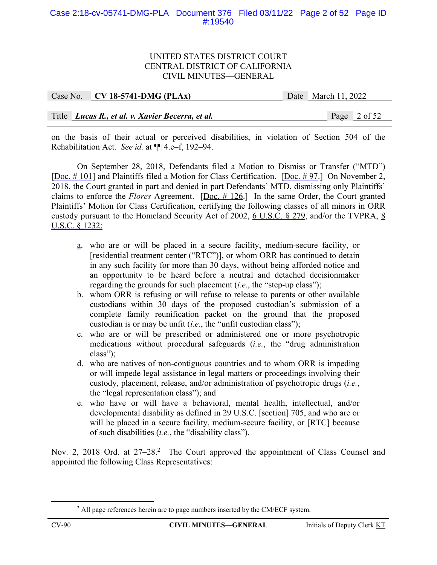# Case 2:18-cv-05741-DMG-PLA Document 376 Filed 03/11/22 Page 2 of 52 Page ID #:19540

#### UNITED STATES DISTRICT COURT CENTRAL DISTRICT OF CALIFORNIA CIVIL MINUTES—GENERAL

| Case No. $\vert$ CV 18-5741-DMG (PLAx)           | Date March 11, 2022 |  |
|--------------------------------------------------|---------------------|--|
|                                                  |                     |  |
| Title Lucas R., et al. v. Xavier Becerra, et al. | Page 2 of 52        |  |

on the basis of their actual or perceived disabilities, in violation of Section 504 of the Rehabilitation Act. *See id.* at ¶¶ 4.e–f, 192–94.

 On September 28, 2018, Defendants filed a Motion to Dismiss or Transfer ("MTD") [Doc. # 101] and Plaintiffs filed a Motion for Class Certification. [Doc. # 97.] On November 2, 2018, the Court granted in part and denied in part Defendants' MTD, dismissing only Plaintiffs' claims to enforce the *Flores* Agreement. [Doc. # 126.] In the same Order, the Court granted Plaintiffs' Motion for Class Certification, certifying the following classes of all minors in ORR custody pursuant to the Homeland Security Act of 2002, 6 U.S.C. § 279, and/or the TVPRA, 8 U.S.C. § 1232:

- a. who are or will be placed in a secure facility, medium-secure facility, or [residential treatment center ("RTC")], or whom ORR has continued to detain in any such facility for more than 30 days, without being afforded notice and an opportunity to be heard before a neutral and detached decisionmaker regarding the grounds for such placement (*i.e.*, the "step-up class");
- b. whom ORR is refusing or will refuse to release to parents or other available custodians within 30 days of the proposed custodian's submission of a complete family reunification packet on the ground that the proposed custodian is or may be unfit (*i.e.*, the "unfit custodian class");
- c. who are or will be prescribed or administered one or more psychotropic medications without procedural safeguards (*i.e.*, the "drug administration class");
- d. who are natives of non-contiguous countries and to whom ORR is impeding or will impede legal assistance in legal matters or proceedings involving their custody, placement, release, and/or administration of psychotropic drugs (*i.e.*, the "legal representation class"); and
- e. who have or will have a behavioral, mental health, intellectual, and/or developmental disability as defined in 29 U.S.C. [section] 705, and who are or will be placed in a secure facility, medium-secure facility, or [RTC] because of such disabilities (*i.e.*, the "disability class").

Nov. 2, 2018 Ord. at 27-28.<sup>2</sup> The Court approved the appointment of Class Counsel and appointed the following Class Representatives:

 $\frac{1}{2}$ <sup>2</sup> All page references herein are to page numbers inserted by the CM/ECF system.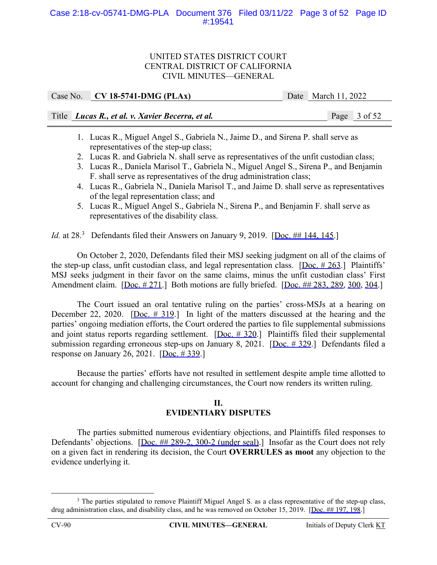# Case 2:18-cv-05741-DMG-PLA Document 376 Filed 03/11/22 Page 3 of 52 Page ID #:19541

## UNITED STATES DISTRICT COURT CENTRAL DISTRICT OF CALIFORNIA CIVIL MINUTES—GENERAL

| Case No. $CV$ 18-5741-DMG (PLAx)                 | Date March $11, 2022$ |
|--------------------------------------------------|-----------------------|
| Title Lucas R., et al. v. Xavier Becerra, et al. | Page 3 of 52          |

- 1. Lucas R., Miguel Angel S., Gabriela N., Jaime D., and Sirena P. shall serve as representatives of the step-up class;
- 2. Lucas R. and Gabriela N. shall serve as representatives of the unfit custodian class;
- 3. Lucas R., Daniela Marisol T., Gabriela N., Miguel Angel S., Sirena P., and Benjamin F. shall serve as representatives of the drug administration class;
- 4. Lucas R., Gabriela N., Daniela Marisol T., and Jaime D. shall serve as representatives of the legal representation class; and
- 5. Lucas R., Miguel Angel S., Gabriela N., Sirena P., and Benjamin F. shall serve as representatives of the disability class.

*Id.* at 28.<sup>3</sup> Defendants filed their Answers on January 9, 2019. [Doc. ## 144, 145.]

On October 2, 2020, Defendants filed their MSJ seeking judgment on all of the claims of the step-up class, unfit custodian class, and legal representation class.  $[Doc. # 263.]$  Plaintiffs' MSJ seeks judgment in their favor on the same claims, minus the unfit custodian class' First Amendment claim. [Doc. # 271.] Both motions are fully briefed. [Doc. ## 283, 289, 300, 304.]

The Court issued an oral tentative ruling on the parties' cross-MSJs at a hearing on December 22, 2020. [Doc. # 319.] In light of the matters discussed at the hearing and the parties' ongoing mediation efforts, the Court ordered the parties to file supplemental submissions and joint status reports regarding settlement.  $[Doc. # 320.]$  Plaintiffs filed their supplemental submission regarding erroneous step-ups on January 8, 2021. [Doc. # 329.] Defendants filed a response on January 26, 2021. [Doc. # 339.]

Because the parties' efforts have not resulted in settlement despite ample time allotted to account for changing and challenging circumstances, the Court now renders its written ruling.

# **II. EVIDENTIARY DISPUTES**

The parties submitted numerous evidentiary objections, and Plaintiffs filed responses to Defendants' objections. [Doc. ## 289-2, 300-2 (under seal).] Insofar as the Court does not rely on a given fact in rendering its decision, the Court **OVERRULES as moot** any objection to the evidence underlying it.

 $\frac{1}{3}$ <sup>3</sup> The parties stipulated to remove Plaintiff Miguel Angel S. as a class representative of the step-up class, drug administration class, and disability class, and he was removed on October 15, 2019. [Doc. ## 197, 198.]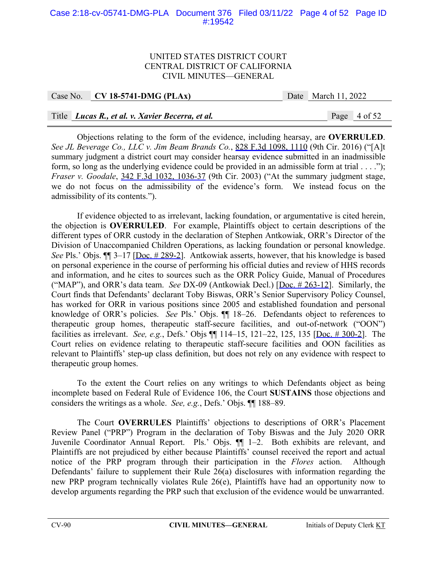# Case 2:18-cv-05741-DMG-PLA Document 376 Filed 03/11/22 Page 4 of 52 Page ID #:19542

#### UNITED STATES DISTRICT COURT CENTRAL DISTRICT OF CALIFORNIA CIVIL MINUTES—GENERAL

#### Case No. **CV 18-5741-DMG (PLAx)** Date March 11, 2022

# Title *Lucas R., et al. v. Xavier Becerra, et al.* Page 4 of 52

Objections relating to the form of the evidence, including hearsay, are **OVERRULED**. *See JL Beverage Co., LLC v. Jim Beam Brands Co.*, 828 F.3d 1098, 1110 (9th Cir. 2016) ("[A]t summary judgment a district court may consider hearsay evidence submitted in an inadmissible form, so long as the underlying evidence could be provided in an admissible form at trial . . . ."); *Fraser v. Goodale*, 342 F.3d 1032, 1036-37 (9th Cir. 2003) ("At the summary judgment stage, we do not focus on the admissibility of the evidence's form. We instead focus on the admissibility of its contents.").

 If evidence objected to as irrelevant, lacking foundation, or argumentative is cited herein, the objection is **OVERRULED**. For example, Plaintiffs object to certain descriptions of the different types of ORR custody in the declaration of Stephen Antkowiak, ORR's Director of the Division of Unaccompanied Children Operations, as lacking foundation or personal knowledge. *See* Pls.' Objs.  $\P$  3–17 [Doc. # 289-2]. Antkowiak asserts, however, that his knowledge is based on personal experience in the course of performing his official duties and review of HHS records and information, and he cites to sources such as the ORR Policy Guide, Manual of Procedures ("MAP"), and ORR's data team. *See* DX-09 (Antkowiak Decl.) [Doc. # 263-12]. Similarly, the Court finds that Defendants' declarant Toby Biswas, ORR's Senior Supervisory Policy Counsel, has worked for ORR in various positions since 2005 and established foundation and personal knowledge of ORR's policies. *See* Pls.' Objs. ¶¶ 18–26. Defendants object to references to therapeutic group homes, therapeutic staff-secure facilities, and out-of-network ("OON") facilities as irrelevant. *See, e.g.*, Defs.' Objs ¶¶ 114–15, 121–22, 125, 135 [Doc. # 300-2]. The Court relies on evidence relating to therapeutic staff-secure facilities and OON facilities as relevant to Plaintiffs' step-up class definition, but does not rely on any evidence with respect to therapeutic group homes.

 To the extent the Court relies on any writings to which Defendants object as being incomplete based on Federal Rule of Evidence 106, the Court **SUSTAINS** those objections and considers the writings as a whole. *See, e.g.*, Defs.' Objs. ¶¶ 188–89.

The Court **OVERRULES** Plaintiffs' objections to descriptions of ORR's Placement Review Panel ("PRP") Program in the declaration of Toby Biswas and the July 2020 ORR Juvenile Coordinator Annual Report. Pls.' Objs. ¶¶ 1–2. Both exhibits are relevant, and Plaintiffs are not prejudiced by either because Plaintiffs' counsel received the report and actual notice of the PRP program through their participation in the *Flores* action. Although Defendants' failure to supplement their Rule 26(a) disclosures with information regarding the new PRP program technically violates Rule 26(e), Plaintiffs have had an opportunity now to develop arguments regarding the PRP such that exclusion of the evidence would be unwarranted.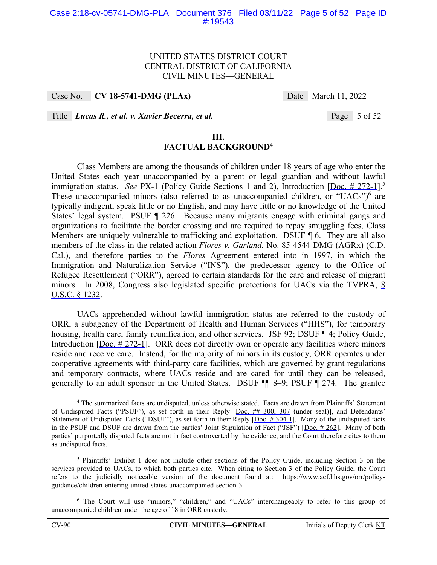## UNITED STATES DISTRICT COURT CENTRAL DISTRICT OF CALIFORNIA CIVIL MINUTES—GENERAL

Case No. **CV 18-5741-DMG (PLAx)** Date March 11, 2022

Title *Lucas R., et al. v. Xavier Becerra, et al.* Page 5 of 52

# **III.**

# **FACTUAL BACKGROUND4**

Class Members are among the thousands of children under 18 years of age who enter the United States each year unaccompanied by a parent or legal guardian and without lawful immigration status. *See PX*-1 (Policy Guide Sections 1 and 2), Introduction [Doc. # 272-1].<sup>5</sup> These unaccompanied minors (also referred to as unaccompanied children, or "UACs") $6$  are typically indigent, speak little or no English, and may have little or no knowledge of the United States' legal system. PSUF ¶ 226. Because many migrants engage with criminal gangs and organizations to facilitate the border crossing and are required to repay smuggling fees, Class Members are uniquely vulnerable to trafficking and exploitation. DSUF  $\P$  6. They are all also members of the class in the related action *Flores v. Garland*, No. 85-4544-DMG (AGRx) (C.D. Cal.), and therefore parties to the *Flores* Agreement entered into in 1997, in which the Immigration and Naturalization Service ("INS"), the predecessor agency to the Office of Refugee Resettlement ("ORR"), agreed to certain standards for the care and release of migrant minors. In 2008, Congress also legislated specific protections for UACs via the TVPRA, 8 U.S.C. § 1232.

UACs apprehended without lawful immigration status are referred to the custody of ORR, a subagency of the Department of Health and Human Services ("HHS"), for temporary housing, health care, family reunification, and other services. JSF 92; DSUF ¶ 4; Policy Guide, Introduction [Doc. # 272-1]. ORR does not directly own or operate any facilities where minors reside and receive care. Instead, for the majority of minors in its custody, ORR operates under cooperative agreements with third-party care facilities, which are governed by grant regulations and temporary contracts, where UACs reside and are cared for until they can be released, generally to an adult sponsor in the United States. DSUF ¶¶ 8–9; PSUF ¶ 274. The grantee

 $\overline{a}$  The summarized facts are undisputed, unless otherwise stated. Facts are drawn from Plaintiffs' Statement of Undisputed Facts ("PSUF"), as set forth in their Reply [Doc. ## 300, 307 (under seal)], and Defendants' Statement of Undisputed Facts ("DSUF"), as set forth in their Reply [Doc. # 304-1]. Many of the undisputed facts in the PSUF and DSUF are drawn from the parties' Joint Stipulation of Fact ("JSF") [Doc.  $\#262$ ]. Many of both parties' purportedly disputed facts are not in fact controverted by the evidence, and the Court therefore cites to them as undisputed facts.

<sup>&</sup>lt;sup>5</sup> Plaintiffs' Exhibit 1 does not include other sections of the Policy Guide, including Section 3 on the services provided to UACs, to which both parties cite. When citing to Section 3 of the Policy Guide, the Court refers to the judicially noticeable version of the document found at: https://www.acf.hhs.gov/orr/policyguidance/children-entering-united-states-unaccompanied-section-3.

<sup>&</sup>lt;sup>6</sup> The Court will use "minors," "children," and "UACs" interchangeably to refer to this group of unaccompanied children under the age of 18 in ORR custody.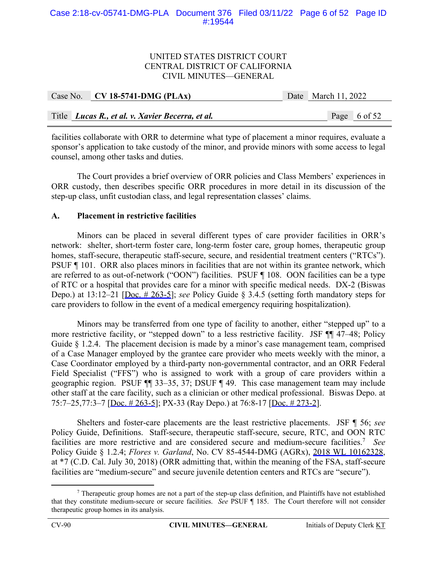# Case 2:18-cv-05741-DMG-PLA Document 376 Filed 03/11/22 Page 6 of 52 Page ID #:19544

## UNITED STATES DISTRICT COURT CENTRAL DISTRICT OF CALIFORNIA CIVIL MINUTES—GENERAL

|  | Case No. $\vert$ CV 18-5741-DMG (PLAx)           | Date March 11, 2022 |  |
|--|--------------------------------------------------|---------------------|--|
|  |                                                  |                     |  |
|  | Title Lucas R., et al. v. Xavier Becerra, et al. | Page 6 of 52        |  |

facilities collaborate with ORR to determine what type of placement a minor requires, evaluate a sponsor's application to take custody of the minor, and provide minors with some access to legal counsel, among other tasks and duties.

The Court provides a brief overview of ORR policies and Class Members' experiences in ORR custody, then describes specific ORR procedures in more detail in its discussion of the step-up class, unfit custodian class, and legal representation classes' claims.

#### **A. Placement in restrictive facilities**

Minors can be placed in several different types of care provider facilities in ORR's network: shelter, short-term foster care, long-term foster care, group homes, therapeutic group homes, staff-secure, therapeutic staff-secure, secure, and residential treatment centers ("RTCs"). PSUF ¶ 101. ORR also places minors in facilities that are not within its grantee network, which are referred to as out-of-network ("OON") facilities. PSUF ¶ 108. OON facilities can be a type of RTC or a hospital that provides care for a minor with specific medical needs. DX-2 (Biswas Depo.) at 13:12–21 [Doc. # 263-5]; *see* Policy Guide § 3.4.5 (setting forth mandatory steps for care providers to follow in the event of a medical emergency requiring hospitalization).

Minors may be transferred from one type of facility to another, either "stepped up" to a more restrictive facility, or "stepped down" to a less restrictive facility. JSF ¶¶ 47–48; Policy Guide § 1.2.4. The placement decision is made by a minor's case management team, comprised of a Case Manager employed by the grantee care provider who meets weekly with the minor, a Case Coordinator employed by a third-party non-governmental contractor, and an ORR Federal Field Specialist ("FFS") who is assigned to work with a group of care providers within a geographic region. PSUF ¶¶ 33–35, 37; DSUF ¶ 49. This case management team may include other staff at the care facility, such as a clinician or other medical professional. Biswas Depo. at 75:7–25,77:3–7 [Doc. # 263-5]; PX-33 (Ray Depo.) at 76:8-17 [Doc. # 273-2].

Shelters and foster-care placements are the least restrictive placements. JSF ¶ 56; *see*  Policy Guide, Definitions. Staff-secure, therapeutic staff-secure, secure, RTC, and OON RTC facilities are more restrictive and are considered secure and medium-secure facilities.7 *See*  Policy Guide § 1.2.4; *Flores v. Garland*, No. CV 85-4544-DMG (AGRx), 2018 WL 10162328, at \*7 (C.D. Cal. July 30, 2018) (ORR admitting that, within the meaning of the FSA, staff-secure facilities are "medium-secure" and secure juvenile detention centers and RTCs are "secure").

 $\begin{array}{c|c}\n\hline\n\end{array}$  Therapeutic group homes are not a part of the step-up class definition, and Plaintiffs have not established that they constitute medium-secure or secure facilities. *See* PSUF ¶ 185. The Court therefore will not consider therapeutic group homes in its analysis.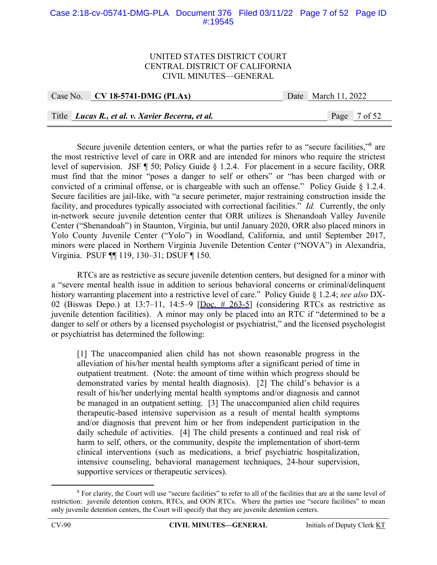# Case 2:18-cv-05741-DMG-PLA Document 376 Filed 03/11/22 Page 7 of 52 Page ID #:19545

#### UNITED STATES DISTRICT COURT CENTRAL DISTRICT OF CALIFORNIA CIVIL MINUTES—GENERAL

|  | Case No. CV 18-5741-DMG (PLAx)                   | Date March 11, 2022 |  |
|--|--------------------------------------------------|---------------------|--|
|  |                                                  |                     |  |
|  | Title Lucas R., et al. v. Xavier Becerra, et al. | Page 7 of 52        |  |

Secure juvenile detention centers, or what the parties refer to as "secure facilities,"<sup>8</sup> are the most restrictive level of care in ORR and are intended for minors who require the strictest level of supervision. JSF ¶ 50; Policy Guide § 1.2.4. For placement in a secure facility, ORR must find that the minor "poses a danger to self or others" or "has been charged with or convicted of a criminal offense, or is chargeable with such an offense." Policy Guide § 1.2.4. Secure facilities are jail-like, with "a secure perimeter, major restraining construction inside the facility, and procedures typically associated with correctional facilities." *Id.* Currently, the only in-network secure juvenile detention center that ORR utilizes is Shenandoah Valley Juvenile Center ("Shenandoah") in Staunton, Virginia, but until January 2020, ORR also placed minors in Yolo County Juvenile Center ("Yolo") in Woodland, California, and until September 2017, minors were placed in Northern Virginia Juvenile Detention Center ("NOVA") in Alexandria, Virginia. PSUF ¶¶ 119, 130–31; DSUF ¶ 150.

RTCs are as restrictive as secure juvenile detention centers, but designed for a minor with a "severe mental health issue in addition to serious behavioral concerns or criminal/delinquent history warranting placement into a restrictive level of care." Policy Guide § 1.2.4; *see also* DX-02 (Biswas Depo.) at 13:7-11, 14:5-9  $[Doc. # 263-5]$  (considering RTCs as restrictive as juvenile detention facilities). A minor may only be placed into an RTC if "determined to be a danger to self or others by a licensed psychologist or psychiatrist," and the licensed psychologist or psychiatrist has determined the following:

[1] The unaccompanied alien child has not shown reasonable progress in the alleviation of his/her mental health symptoms after a significant period of time in outpatient treatment. (Note: the amount of time within which progress should be demonstrated varies by mental health diagnosis). [2] The child's behavior is a result of his/her underlying mental health symptoms and/or diagnosis and cannot be managed in an outpatient setting. [3] The unaccompanied alien child requires therapeutic-based intensive supervision as a result of mental health symptoms and/or diagnosis that prevent him or her from independent participation in the daily schedule of activities. [4] The child presents a continued and real risk of harm to self, others, or the community, despite the implementation of short-term clinical interventions (such as medications, a brief psychiatric hospitalization, intensive counseling, behavioral management techniques, 24-hour supervision, supportive services or therapeutic services).

 $\frac{1}{8}$ <sup>8</sup> For clarity, the Court will use "secure facilities" to refer to all of the facilities that are at the same level of restriction: juvenile detention centers, RTCs, and OON RTCs. Where the parties use "secure facilities" to mean only juvenile detention centers, the Court will specify that they are juvenile detention centers.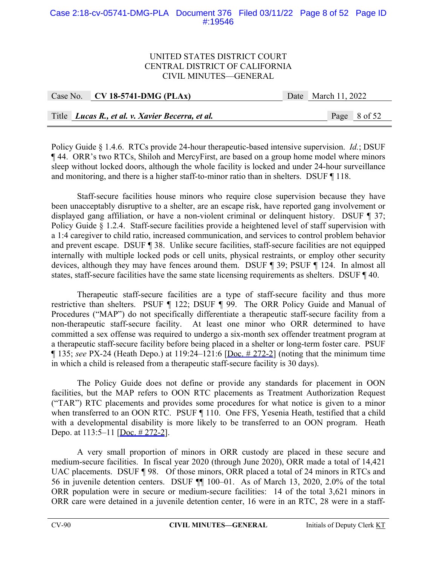# Case 2:18-cv-05741-DMG-PLA Document 376 Filed 03/11/22 Page 8 of 52 Page ID #:19546

## UNITED STATES DISTRICT COURT CENTRAL DISTRICT OF CALIFORNIA CIVIL MINUTES—GENERAL

| Case No. $CV$ 18-5741-DMG (PLAx)                 | Date March 11, 2022 |  |
|--------------------------------------------------|---------------------|--|
|                                                  |                     |  |
| Title Lucas R., et al. v. Xavier Becerra, et al. | Page 8 of 52        |  |

Policy Guide § 1.4.6. RTCs provide 24-hour therapeutic-based intensive supervision. *Id.*; DSUF ¶ 44. ORR's two RTCs, Shiloh and MercyFirst, are based on a group home model where minors sleep without locked doors, although the whole facility is locked and under 24-hour surveillance and monitoring, and there is a higher staff-to-minor ratio than in shelters. DSUF ¶ 118.

Staff-secure facilities house minors who require close supervision because they have been unacceptably disruptive to a shelter, are an escape risk, have reported gang involvement or displayed gang affiliation, or have a non-violent criminal or delinquent history. DSUF ¶ 37; Policy Guide § 1.2.4. Staff-secure facilities provide a heightened level of staff supervision with a 1:4 caregiver to child ratio, increased communication, and services to control problem behavior and prevent escape. DSUF ¶ 38. Unlike secure facilities, staff-secure facilities are not equipped internally with multiple locked pods or cell units, physical restraints, or employ other security devices, although they may have fences around them. DSUF ¶ 39; PSUF ¶ 124. In almost all states, staff-secure facilities have the same state licensing requirements as shelters. DSUF ¶ 40.

Therapeutic staff-secure facilities are a type of staff-secure facility and thus more restrictive than shelters. PSUF ¶ 122; DSUF ¶ 99. The ORR Policy Guide and Manual of Procedures ("MAP") do not specifically differentiate a therapeutic staff-secure facility from a non-therapeutic staff-secure facility. At least one minor who ORR determined to have committed a sex offense was required to undergo a six-month sex offender treatment program at a therapeutic staff-secure facility before being placed in a shelter or long-term foster care. PSUF ¶ 135; *see* PX-24 (Heath Depo.) at 119:24–121:6 [Doc. # 272-2] (noting that the minimum time in which a child is released from a therapeutic staff-secure facility is 30 days).

The Policy Guide does not define or provide any standards for placement in OON facilities, but the MAP refers to OON RTC placements as Treatment Authorization Request ("TAR") RTC placements and provides some procedures for what notice is given to a minor when transferred to an OON RTC. PSUF ¶ 110. One FFS, Yesenia Heath, testified that a child with a developmental disability is more likely to be transferred to an OON program. Heath Depo. at 113:5–11 [Doc. # 272-2].

A very small proportion of minors in ORR custody are placed in these secure and medium-secure facilities. In fiscal year 2020 (through June 2020), ORR made a total of 14,421 UAC placements. DSUF ¶ 98. Of those minors, ORR placed a total of 24 minors in RTCs and 56 in juvenile detention centers. DSUF ¶¶ 100–01. As of March 13, 2020, 2.0% of the total ORR population were in secure or medium-secure facilities: 14 of the total 3,621 minors in ORR care were detained in a juvenile detention center, 16 were in an RTC, 28 were in a staff-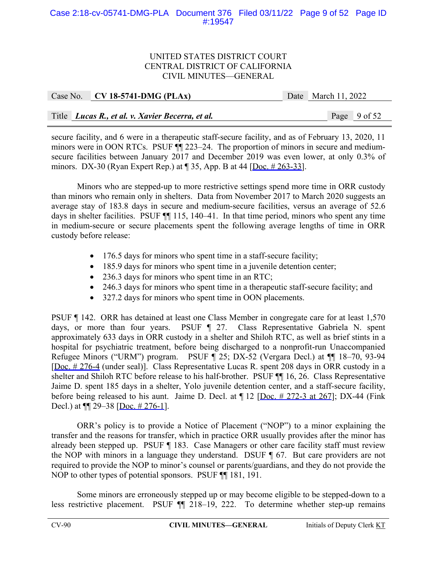# Case 2:18-cv-05741-DMG-PLA Document 376 Filed 03/11/22 Page 9 of 52 Page ID #:19547

#### UNITED STATES DISTRICT COURT CENTRAL DISTRICT OF CALIFORNIA CIVIL MINUTES—GENERAL

| Case No. CV 18-5741-DMG (PLAx)                   | Date March 11, 2022 |  |
|--------------------------------------------------|---------------------|--|
|                                                  |                     |  |
| Title Lucas R., et al. v. Xavier Becerra, et al. | Page 9 of 52        |  |

secure facility, and 6 were in a therapeutic staff-secure facility, and as of February 13, 2020, 11 minors were in OON RTCs. PSUF ¶¶ 223–24. The proportion of minors in secure and mediumsecure facilities between January 2017 and December 2019 was even lower, at only 0.3% of minors. DX-30 (Ryan Expert Rep.) at  $\P$  35, App. B at 44 [Doc.  $\#$  263-33].

Minors who are stepped-up to more restrictive settings spend more time in ORR custody than minors who remain only in shelters. Data from November 2017 to March 2020 suggests an average stay of 183.8 days in secure and medium-secure facilities, versus an average of 52.6 days in shelter facilities. PSUF ¶¶ 115, 140–41. In that time period, minors who spent any time in medium-secure or secure placements spent the following average lengths of time in ORR custody before release:

- 176.5 days for minors who spent time in a staff-secure facility;
- 185.9 days for minors who spent time in a juvenile detention center;
- 236.3 days for minors who spent time in an RTC;
- 246.3 days for minors who spent time in a therapeutic staff-secure facility; and
- 327.2 days for minors who spent time in OON placements.

PSUF ¶ 142. ORR has detained at least one Class Member in congregate care for at least 1,570 days, or more than four years. PSUF ¶ 27. Class Representative Gabriela N. spent approximately 633 days in ORR custody in a shelter and Shiloh RTC, as well as brief stints in a hospital for psychiatric treatment, before being discharged to a nonprofit-run Unaccompanied Refugee Minors ("URM") program. PSUF ¶ 25; DX-52 (Vergara Decl.) at ¶¶ 18–70, 93-94 [Doc. # 276-4 (under seal)]. Class Representative Lucas R. spent 208 days in ORR custody in a shelter and Shiloh RTC before release to his half-brother. PSUF ¶¶ 16, 26. Class Representative Jaime D. spent 185 days in a shelter, Yolo juvenile detention center, and a staff-secure facility, before being released to his aunt. Jaime D. Decl. at  $\P$  12 [Doc.  $\#$  272-3 at 267]; DX-44 (Fink Decl.) at  $\P$  29–38 [Doc. # 276-1].

ORR's policy is to provide a Notice of Placement ("NOP") to a minor explaining the transfer and the reasons for transfer, which in practice ORR usually provides after the minor has already been stepped up. PSUF ¶ 183. Case Managers or other care facility staff must review the NOP with minors in a language they understand. DSUF ¶ 67. But care providers are not required to provide the NOP to minor's counsel or parents/guardians, and they do not provide the NOP to other types of potential sponsors. PSUF ¶¶ 181, 191.

Some minors are erroneously stepped up or may become eligible to be stepped-down to a less restrictive placement. PSUF ¶¶ 218–19, 222. To determine whether step-up remains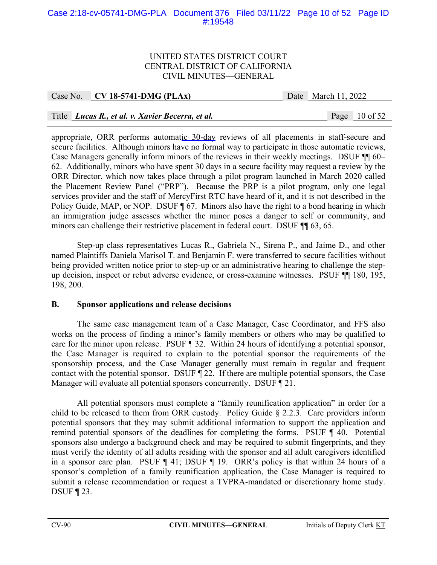# Case 2:18-cv-05741-DMG-PLA Document 376 Filed 03/11/22 Page 10 of 52 Page ID #:19548

## UNITED STATES DISTRICT COURT CENTRAL DISTRICT OF CALIFORNIA CIVIL MINUTES—GENERAL

Case No. **CV 18-5741-DMG (PLAx)** Date March 11, 2022

# Title *Lucas R., et al. v. Xavier Becerra, et al.* Page 10 of 52

appropriate, ORR performs automatic 30-day reviews of all placements in staff-secure and secure facilities. Although minors have no formal way to participate in those automatic reviews, Case Managers generally inform minors of the reviews in their weekly meetings. DSUF ¶¶ 60– 62. Additionally, minors who have spent 30 days in a secure facility may request a review by the ORR Director, which now takes place through a pilot program launched in March 2020 called the Placement Review Panel ("PRP"). Because the PRP is a pilot program, only one legal services provider and the staff of MercyFirst RTC have heard of it, and it is not described in the Policy Guide, MAP, or NOP. DSUF 167. Minors also have the right to a bond hearing in which an immigration judge assesses whether the minor poses a danger to self or community, and minors can challenge their restrictive placement in federal court. DSUF ¶¶ 63, 65.

Step-up class representatives Lucas R., Gabriela N., Sirena P., and Jaime D., and other named Plaintiffs Daniela Marisol T. and Benjamin F. were transferred to secure facilities without being provided written notice prior to step-up or an administrative hearing to challenge the stepup decision, inspect or rebut adverse evidence, or cross-examine witnesses. PSUF ¶¶ 180, 195, 198, 200.

# **B. Sponsor applications and release decisions**

The same case management team of a Case Manager, Case Coordinator, and FFS also works on the process of finding a minor's family members or others who may be qualified to care for the minor upon release. PSUF ¶ 32. Within 24 hours of identifying a potential sponsor, the Case Manager is required to explain to the potential sponsor the requirements of the sponsorship process, and the Case Manager generally must remain in regular and frequent contact with the potential sponsor. DSUF ¶ 22. If there are multiple potential sponsors, the Case Manager will evaluate all potential sponsors concurrently. DSUF ¶ 21.

All potential sponsors must complete a "family reunification application" in order for a child to be released to them from ORR custody. Policy Guide § 2.2.3. Care providers inform potential sponsors that they may submit additional information to support the application and remind potential sponsors of the deadlines for completing the forms. PSUF ¶ 40. Potential sponsors also undergo a background check and may be required to submit fingerprints, and they must verify the identity of all adults residing with the sponsor and all adult caregivers identified in a sponsor care plan. PSUF ¶ 41; DSUF ¶ 19. ORR's policy is that within 24 hours of a sponsor's completion of a family reunification application, the Case Manager is required to submit a release recommendation or request a TVPRA-mandated or discretionary home study. DSUF ¶ 23.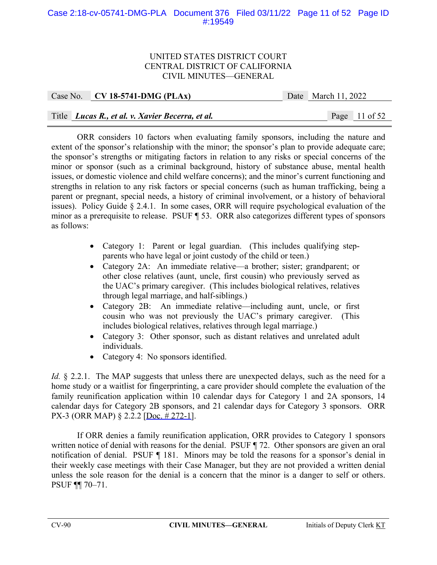# Case 2:18-cv-05741-DMG-PLA Document 376 Filed 03/11/22 Page 11 of 52 Page ID #:19549

#### UNITED STATES DISTRICT COURT CENTRAL DISTRICT OF CALIFORNIA CIVIL MINUTES—GENERAL

| Case No. $\vert$ CV 18-5741-DMG (PLAx)           | Date March $11, 2022$ |                 |
|--------------------------------------------------|-----------------------|-----------------|
|                                                  |                       |                 |
| Title Lucas R., et al. v. Xavier Becerra, et al. |                       | Page $11$ of 52 |

ORR considers 10 factors when evaluating family sponsors, including the nature and extent of the sponsor's relationship with the minor; the sponsor's plan to provide adequate care; the sponsor's strengths or mitigating factors in relation to any risks or special concerns of the minor or sponsor (such as a criminal background, history of substance abuse, mental health issues, or domestic violence and child welfare concerns); and the minor's current functioning and strengths in relation to any risk factors or special concerns (such as human trafficking, being a parent or pregnant, special needs, a history of criminal involvement, or a history of behavioral issues). Policy Guide § 2.4.1. In some cases, ORR will require psychological evaluation of the minor as a prerequisite to release. PSUF ¶ 53. ORR also categorizes different types of sponsors as follows:

- Category 1: Parent or legal guardian. (This includes qualifying stepparents who have legal or joint custody of the child or teen.)
- Category 2A: An immediate relative—a brother; sister; grandparent; or other close relatives (aunt, uncle, first cousin) who previously served as the UAC's primary caregiver. (This includes biological relatives, relatives through legal marriage, and half-siblings.)
- Category 2B: An immediate relative—including aunt, uncle, or first cousin who was not previously the UAC's primary caregiver. (This includes biological relatives, relatives through legal marriage.)
- Category 3: Other sponsor, such as distant relatives and unrelated adult individuals.
- Category 4: No sponsors identified.

*Id.* § 2.2.1. The MAP suggests that unless there are unexpected delays, such as the need for a home study or a waitlist for fingerprinting, a care provider should complete the evaluation of the family reunification application within 10 calendar days for Category 1 and 2A sponsors, 14 calendar days for Category 2B sponsors, and 21 calendar days for Category 3 sponsors. ORR PX-3 (ORR MAP) § 2.2.2 [Doc. # 272-1].

 If ORR denies a family reunification application, ORR provides to Category 1 sponsors written notice of denial with reasons for the denial. PSUF ¶ 72. Other sponsors are given an oral notification of denial. PSUF ¶ 181. Minors may be told the reasons for a sponsor's denial in their weekly case meetings with their Case Manager, but they are not provided a written denial unless the sole reason for the denial is a concern that the minor is a danger to self or others. PSUF ¶¶ 70–71.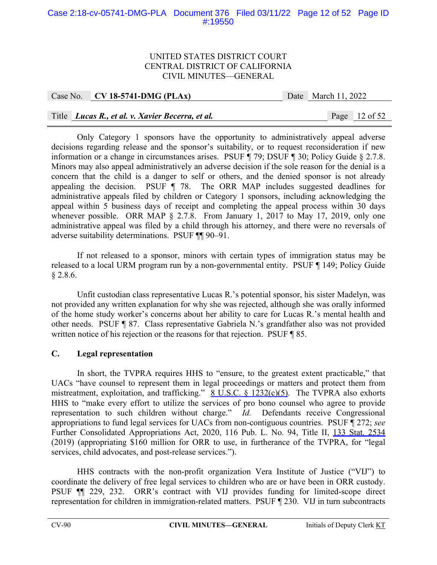# Case 2:18-cv-05741-DMG-PLA Document 376 Filed 03/11/22 Page 12 of 52 Page ID #:19550

#### UNITED STATES DISTRICT COURT CENTRAL DISTRICT OF CALIFORNIA CIVIL MINUTES—GENERAL

Case No. **CV 18-5741-DMG (PLAx)** Date March 11, 2022

# Title *Lucas R., et al. v. Xavier Becerra, et al.* Page 12 of 52

 Only Category 1 sponsors have the opportunity to administratively appeal adverse decisions regarding release and the sponsor's suitability, or to request reconsideration if new information or a change in circumstances arises. PSUF ¶ 79; DSUF ¶ 30; Policy Guide § 2.7.8. Minors may also appeal administratively an adverse decision if the sole reason for the denial is a concern that the child is a danger to self or others, and the denied sponsor is not already appealing the decision. PSUF ¶ 78. The ORR MAP includes suggested deadlines for administrative appeals filed by children or Category 1 sponsors, including acknowledging the appeal within 5 business days of receipt and completing the appeal process within 30 days whenever possible. ORR MAP § 2.7.8. From January 1, 2017 to May 17, 2019, only one administrative appeal was filed by a child through his attorney, and there were no reversals of adverse suitability determinations. PSUF ¶¶ 90–91.

If not released to a sponsor, minors with certain types of immigration status may be released to a local URM program run by a non-governmental entity. PSUF ¶ 149; Policy Guide § 2.8.6.

Unfit custodian class representative Lucas R.'s potential sponsor, his sister Madelyn, was not provided any written explanation for why she was rejected, although she was orally informed of the home study worker's concerns about her ability to care for Lucas R.'s mental health and other needs. PSUF ¶ 87. Class representative Gabriela N.'s grandfather also was not provided written notice of his rejection or the reasons for that rejection. PSUF ¶ 85.

# **C. Legal representation**

In short, the TVPRA requires HHS to "ensure, to the greatest extent practicable," that UACs "have counsel to represent them in legal proceedings or matters and protect them from mistreatment, exploitation, and trafficking." 8 U.S.C. § 1232(c)(5). The TVPRA also exhorts HHS to "make every effort to utilize the services of pro bono counsel who agree to provide representation to such children without charge." *Id.* Defendants receive Congressional appropriations to fund legal services for UACs from non-contiguous countries. PSUF ¶ 272; *see*  Further Consolidated Appropriations Act, 2020, 116 Pub. L. No. 94, Title II, 133 Stat. 2534 (2019) (appropriating \$160 million for ORR to use, in furtherance of the TVPRA, for "legal services, child advocates, and post-release services.").

HHS contracts with the non-profit organization Vera Institute of Justice ("VIJ") to coordinate the delivery of free legal services to children who are or have been in ORR custody. PSUF ¶¶ 229, 232. ORR's contract with VIJ provides funding for limited-scope direct representation for children in immigration-related matters. PSUF ¶ 230. VIJ in turn subcontracts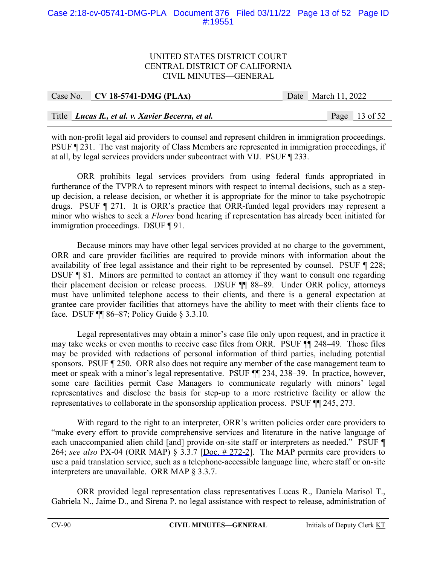# Case 2:18-cv-05741-DMG-PLA Document 376 Filed 03/11/22 Page 13 of 52 Page ID #:19551

## UNITED STATES DISTRICT COURT CENTRAL DISTRICT OF CALIFORNIA CIVIL MINUTES—GENERAL

| Case No. CV 18-5741-DMG (PLAx)                     | Date March 11, 2022 |                 |
|----------------------------------------------------|---------------------|-----------------|
|                                                    |                     |                 |
| Title   Lucas R., et al. v. Xavier Becerra, et al. |                     | Page $13$ of 52 |

with non-profit legal aid providers to counsel and represent children in immigration proceedings. PSUF ¶ 231. The vast majority of Class Members are represented in immigration proceedings, if at all, by legal services providers under subcontract with VIJ. PSUF ¶ 233.

ORR prohibits legal services providers from using federal funds appropriated in furtherance of the TVPRA to represent minors with respect to internal decisions, such as a stepup decision, a release decision, or whether it is appropriate for the minor to take psychotropic drugs. PSUF ¶ 271. It is ORR's practice that ORR-funded legal providers may represent a minor who wishes to seek a *Flores* bond hearing if representation has already been initiated for immigration proceedings. DSUF ¶ 91.

Because minors may have other legal services provided at no charge to the government, ORR and care provider facilities are required to provide minors with information about the availability of free legal assistance and their right to be represented by counsel. PSUF ¶ 228; DSUF ¶ 81. Minors are permitted to contact an attorney if they want to consult one regarding their placement decision or release process. DSUF ¶¶ 88–89. Under ORR policy, attorneys must have unlimited telephone access to their clients, and there is a general expectation at grantee care provider facilities that attorneys have the ability to meet with their clients face to face. DSUF ¶¶ 86–87; Policy Guide § 3.3.10.

Legal representatives may obtain a minor's case file only upon request, and in practice it may take weeks or even months to receive case files from ORR. PSUF ¶¶ 248–49. Those files may be provided with redactions of personal information of third parties, including potential sponsors. PSUF ¶ 250. ORR also does not require any member of the case management team to meet or speak with a minor's legal representative. PSUF ¶¶ 234, 238–39. In practice, however, some care facilities permit Case Managers to communicate regularly with minors' legal representatives and disclose the basis for step-up to a more restrictive facility or allow the representatives to collaborate in the sponsorship application process. PSUF ¶¶ 245, 273.

With regard to the right to an interpreter, ORR's written policies order care providers to "make every effort to provide comprehensive services and literature in the native language of each unaccompanied alien child [and] provide on-site staff or interpreters as needed." PSUF ¶ 264; *see also* PX-04 (ORR MAP) § 3.3.7 [Doc. # 272-2]. The MAP permits care providers to use a paid translation service, such as a telephone-accessible language line, where staff or on-site interpreters are unavailable. ORR MAP § 3.3.7.

ORR provided legal representation class representatives Lucas R., Daniela Marisol T., Gabriela N., Jaime D., and Sirena P. no legal assistance with respect to release, administration of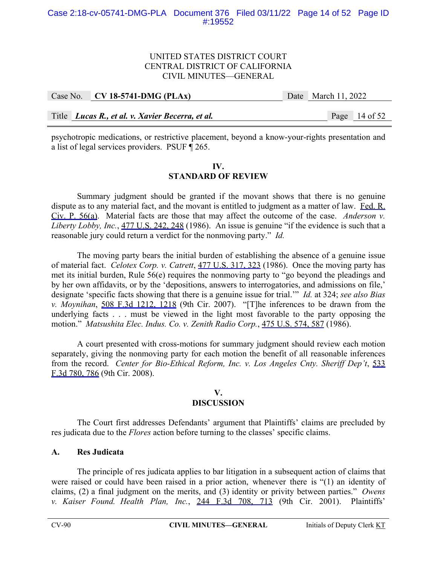## UNITED STATES DISTRICT COURT CENTRAL DISTRICT OF CALIFORNIA CIVIL MINUTES—GENERAL

| Case No. $\vert$ CV 18-5741-DMG (PLAx)           | Date March 11, 2022 |                 |
|--------------------------------------------------|---------------------|-----------------|
|                                                  |                     |                 |
| Title Lucas R., et al. v. Xavier Becerra, et al. |                     | Page $14$ of 52 |

psychotropic medications, or restrictive placement, beyond a know-your-rights presentation and a list of legal services providers. PSUF ¶ 265.

## **IV. STANDARD OF REVIEW**

Summary judgment should be granted if the movant shows that there is no genuine dispute as to any material fact, and the movant is entitled to judgment as a matter of law. Fed. R. Civ. P. 56(a). Material facts are those that may affect the outcome of the case. *Anderson v. Liberty Lobby, Inc.*, 477 U.S. 242, 248 (1986). An issue is genuine "if the evidence is such that a reasonable jury could return a verdict for the nonmoving party." *Id.*

The moving party bears the initial burden of establishing the absence of a genuine issue of material fact. *Celotex Corp. v. Catrett*, 477 U.S. 317, 323 (1986). Once the moving party has met its initial burden, Rule 56(e) requires the nonmoving party to "go beyond the pleadings and by her own affidavits, or by the 'depositions, answers to interrogatories, and admissions on file,' designate 'specific facts showing that there is a genuine issue for trial.'" *Id.* at 324; *see also Bias v. Moynihan*, 508 F.3d 1212, 1218 (9th Cir. 2007). "[T]he inferences to be drawn from the underlying facts . . . must be viewed in the light most favorable to the party opposing the motion." *Matsushita Elec. Indus. Co. v. Zenith Radio Corp.*, 475 U.S. 574, 587 (1986).

A court presented with cross-motions for summary judgment should review each motion separately, giving the nonmoving party for each motion the benefit of all reasonable inferences from the record. *Center for Bio-Ethical Reform, Inc. v. Los Angeles Cnty. Sheriff Dep't*, 533 F.3d 780, 786 (9th Cir. 2008).

#### **V. DISCUSSION**

The Court first addresses Defendants' argument that Plaintiffs' claims are precluded by res judicata due to the *Flores* action before turning to the classes' specific claims.

# **A. Res Judicata**

The principle of res judicata applies to bar litigation in a subsequent action of claims that were raised or could have been raised in a prior action, whenever there is "(1) an identity of claims, (2) a final judgment on the merits, and (3) identity or privity between parties." *Owens v. Kaiser Found. Health Plan, Inc.*, 244 F.3d 708, 713 (9th Cir. 2001). Plaintiffs'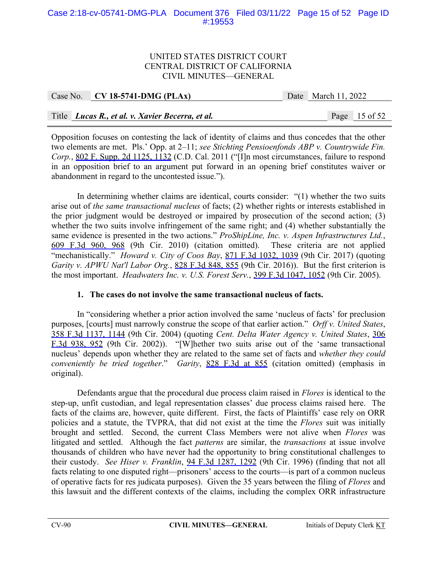# Case 2:18-cv-05741-DMG-PLA Document 376 Filed 03/11/22 Page 15 of 52 Page ID #:19553

## UNITED STATES DISTRICT COURT CENTRAL DISTRICT OF CALIFORNIA CIVIL MINUTES—GENERAL

| Case No. $CV18-5741-DMG (PLAx)$                  |  | Date March 11, 2022 |                 |  |
|--------------------------------------------------|--|---------------------|-----------------|--|
|                                                  |  |                     |                 |  |
| Title Lucas R., et al. v. Xavier Becerra, et al. |  |                     | Page $15$ of 52 |  |

Opposition focuses on contesting the lack of identity of claims and thus concedes that the other two elements are met. Pls.' Opp. at 2–11; *see Stichting Pensioenfonds ABP v. Countrywide Fin. Corp.*, 802 F. Supp. 2d 1125, 1132 (C.D. Cal. 2011 ("[I]n most circumstances, failure to respond in an opposition brief to an argument put forward in an opening brief constitutes waiver or abandonment in regard to the uncontested issue.").

In determining whether claims are identical, courts consider: "(1) whether the two suits arise out of *the same transactional nucleus* of facts; (2) whether rights or interests established in the prior judgment would be destroyed or impaired by prosecution of the second action; (3) whether the two suits involve infringement of the same right; and (4) whether substantially the same evidence is presented in the two actions." *ProShipLine, Inc. v. Aspen Infrastructures Ltd.*, 609 F.3d 960, 968 (9th Cir. 2010) (citation omitted). These criteria are not applied "mechanistically." *Howard v. City of Coos Bay*, 871 F.3d 1032, 1039 (9th Cir. 2017) (quoting *Garity v. APWU Nat'l Labor Org.*, 828 F.3d 848, 855 (9th Cir. 2016)). But the first criterion is the most important. *Headwaters Inc. v. U.S. Forest Serv.*, 399 F.3d 1047, 1052 (9th Cir. 2005).

# **1. The cases do not involve the same transactional nucleus of facts.**

In "considering whether a prior action involved the same 'nucleus of facts' for preclusion purposes, [courts] must narrowly construe the scope of that earlier action." *Orff v. United States*, 358 F.3d 1137, 1144 (9th Cir. 2004) (quoting *Cent. Delta Water Agency v. United States*, 306 F.3d 938, 952 (9th Cir. 2002)). "[W]hether two suits arise out of the 'same transactional nucleus' depends upon whether they are related to the same set of facts and *whether they could conveniently be tried together*." *Garity*, 828 F.3d at 855 (citation omitted) (emphasis in original).

Defendants argue that the procedural due process claim raised in *Flores* is identical to the step-up, unfit custodian, and legal representation classes' due process claims raised here. The facts of the claims are, however, quite different. First, the facts of Plaintiffs' case rely on ORR policies and a statute, the TVPRA, that did not exist at the time the *Flores* suit was initially brought and settled. Second, the current Class Members were not alive when *Flores* was litigated and settled. Although the fact *patterns* are similar, the *transactions* at issue involve thousands of children who have never had the opportunity to bring constitutional challenges to their custody. *See Hiser v. Franklin*, 94 F.3d 1287, 1292 (9th Cir. 1996) (finding that not all facts relating to one disputed right—prisoners' access to the courts—is part of a common nucleus of operative facts for res judicata purposes). Given the 35 years between the filing of *Flores* and this lawsuit and the different contexts of the claims, including the complex ORR infrastructure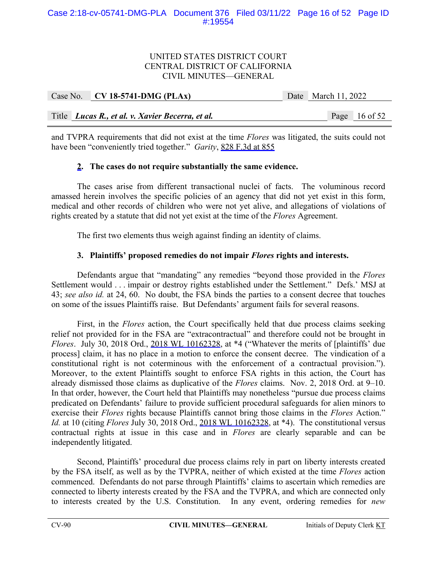# UNITED STATES DISTRICT COURT CENTRAL DISTRICT OF CALIFORNIA CIVIL MINUTES—GENERAL

| Case No. $\vert$ CV 18-5741-DMG (PLAx)           | Date March 11, 2022 |                 |
|--------------------------------------------------|---------------------|-----------------|
|                                                  |                     |                 |
| Title Lucas R., et al. v. Xavier Becerra, et al. |                     | Page $16$ of 52 |

and TVPRA requirements that did not exist at the time *Flores* was litigated, the suits could not have been "conveniently tried together." *Garity*, 828 F.3d at 855

# **2. The cases do not require substantially the same evidence.**

The cases arise from different transactional nuclei of facts. The voluminous record amassed herein involves the specific policies of an agency that did not yet exist in this form, medical and other records of children who were not yet alive, and allegations of violations of rights created by a statute that did not yet exist at the time of the *Flores* Agreement.

The first two elements thus weigh against finding an identity of claims.

#### **3. Plaintiffs' proposed remedies do not impair** *Flores* **rights and interests.**

Defendants argue that "mandating" any remedies "beyond those provided in the *Flores*  Settlement would . . . impair or destroy rights established under the Settlement." Defs.' MSJ at 43; *see also id.* at 24, 60. No doubt, the FSA binds the parties to a consent decree that touches on some of the issues Plaintiffs raise. But Defendants' argument fails for several reasons.

First, in the *Flores* action, the Court specifically held that due process claims seeking relief not provided for in the FSA are "extracontractual" and therefore could not be brought in *Flores*. July 30, 2018 Ord., 2018 WL 10162328, at \*4 ("Whatever the merits of [plaintiffs' due process] claim, it has no place in a motion to enforce the consent decree. The vindication of a constitutional right is not coterminous with the enforcement of a contractual provision."). Moreover, to the extent Plaintiffs sought to enforce FSA rights in this action, the Court has already dismissed those claims as duplicative of the *Flores* claims. Nov. 2, 2018 Ord. at 9–10. In that order, however, the Court held that Plaintiffs may nonetheless "pursue due process claims predicated on Defendants' failure to provide sufficient procedural safeguards for alien minors to exercise their *Flores* rights because Plaintiffs cannot bring those claims in the *Flores* Action." *Id.* at 10 (citing *Flores* July 30, 2018 Ord., 2018 WL 10162328, at \*4). The constitutional versus contractual rights at issue in this case and in *Flores* are clearly separable and can be independently litigated.

 Second, Plaintiffs' procedural due process claims rely in part on liberty interests created by the FSA itself, as well as by the TVPRA, neither of which existed at the time *Flores* action commenced. Defendants do not parse through Plaintiffs' claims to ascertain which remedies are connected to liberty interests created by the FSA and the TVPRA, and which are connected only to interests created by the U.S. Constitution. In any event, ordering remedies for *new*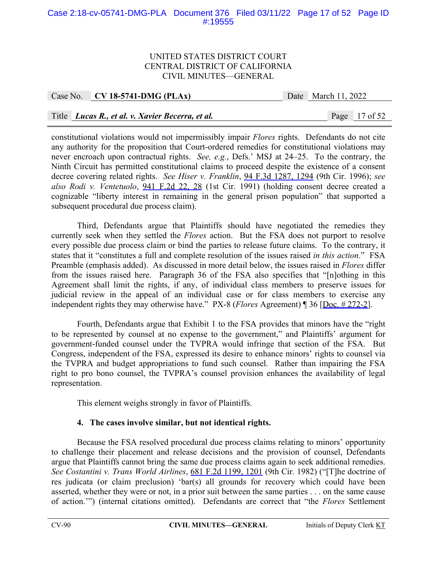# Case 2:18-cv-05741-DMG-PLA Document 376 Filed 03/11/22 Page 17 of 52 Page ID #:19555

#### UNITED STATES DISTRICT COURT CENTRAL DISTRICT OF CALIFORNIA CIVIL MINUTES—GENERAL

#### Case No. **CV 18-5741-DMG (PLAx)** Date March 11, 2022

# Title *Lucas R., et al. v. Xavier Becerra, et al.* Page 17 of 52

constitutional violations would not impermissibly impair *Flores* rights. Defendants do not cite any authority for the proposition that Court-ordered remedies for constitutional violations may never encroach upon contractual rights. *See, e.g.*, Defs.' MSJ at 24–25. To the contrary, the Ninth Circuit has permitted constitutional claims to proceed despite the existence of a consent decree covering related rights. *See Hiser v. Franklin*, 94 F.3d 1287, 1294 (9th Cir. 1996); *see also Rodi v. Ventetuolo*, 941 F.2d 22, 28 (1st Cir. 1991) (holding consent decree created a cognizable "liberty interest in remaining in the general prison population" that supported a subsequent procedural due process claim).

Third, Defendants argue that Plaintiffs should have negotiated the remedies they currently seek when they settled the *Flores* action. But the FSA does not purport to resolve every possible due process claim or bind the parties to release future claims. To the contrary, it states that it "constitutes a full and complete resolution of the issues raised *in this action*." FSA Preamble (emphasis added). As discussed in more detail below, the issues raised in *Flores* differ from the issues raised here. Paragraph 36 of the FSA also specifies that "[n]othing in this Agreement shall limit the rights, if any, of individual class members to preserve issues for judicial review in the appeal of an individual case or for class members to exercise any independent rights they may otherwise have." PX-8 (*Flores* Agreement) ¶ 36 [Doc. # 272-2].

Fourth, Defendants argue that Exhibit 1 to the FSA provides that minors have the "right to be represented by counsel at no expense to the government," and Plaintiffs' argument for government-funded counsel under the TVPRA would infringe that section of the FSA. But Congress, independent of the FSA, expressed its desire to enhance minors' rights to counsel via the TVPRA and budget appropriations to fund such counsel. Rather than impairing the FSA right to pro bono counsel, the TVPRA's counsel provision enhances the availability of legal representation.

This element weighs strongly in favor of Plaintiffs.

# **4. The cases involve similar, but not identical rights.**

Because the FSA resolved procedural due process claims relating to minors' opportunity to challenge their placement and release decisions and the provision of counsel, Defendants argue that Plaintiffs cannot bring the same due process claims again to seek additional remedies. *See Costantini v. Trans World Airlines*, 681 F.2d 1199, 1201 (9th Cir. 1982) ("[T]he doctrine of res judicata (or claim preclusion) 'bar(s) all grounds for recovery which could have been asserted, whether they were or not, in a prior suit between the same parties . . . on the same cause of action.'") (internal citations omitted). Defendants are correct that "the *Flores* Settlement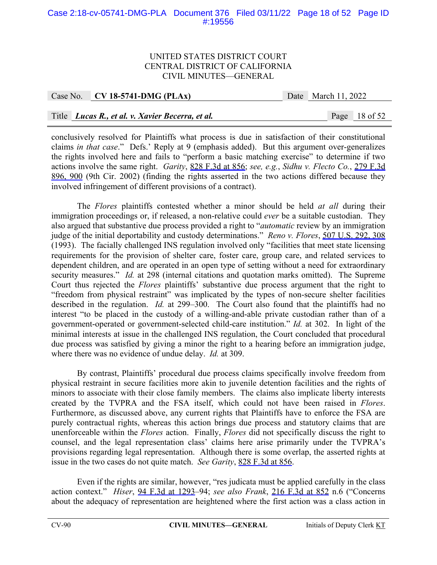# Case 2:18-cv-05741-DMG-PLA Document 376 Filed 03/11/22 Page 18 of 52 Page ID #:19556

#### UNITED STATES DISTRICT COURT CENTRAL DISTRICT OF CALIFORNIA CIVIL MINUTES—GENERAL

| Case No. $\vert$ CV 18-5741-DMG (PLAx)           | Date March 11, 2022 |                 |
|--------------------------------------------------|---------------------|-----------------|
|                                                  |                     |                 |
| Title Lucas R., et al. v. Xavier Becerra, et al. |                     | Page $18$ of 52 |

conclusively resolved for Plaintiffs what process is due in satisfaction of their constitutional claims *in that case*." Defs.' Reply at 9 (emphasis added). But this argument over-generalizes the rights involved here and fails to "perform a basic matching exercise" to determine if two actions involve the same right. *Garity*, 828 F.3d at 856; *see, e.g.*, *Sidhu v. Flecto Co.*, 279 F.3d 896, 900 (9th Cir. 2002) (finding the rights asserted in the two actions differed because they involved infringement of different provisions of a contract).

The *Flores* plaintiffs contested whether a minor should be held *at all* during their immigration proceedings or, if released, a non-relative could *ever* be a suitable custodian. They also argued that substantive due process provided a right to "*automatic* review by an immigration judge of the initial deportability and custody determinations." *Reno v. Flores*, 507 U.S. 292, 308 (1993). The facially challenged INS regulation involved only "facilities that meet state licensing requirements for the provision of shelter care, foster care, group care, and related services to dependent children, and are operated in an open type of setting without a need for extraordinary security measures." *Id.* at 298 (internal citations and quotation marks omitted). The Supreme Court thus rejected the *Flores* plaintiffs' substantive due process argument that the right to "freedom from physical restraint" was implicated by the types of non-secure shelter facilities described in the regulation. *Id.* at 299–300. The Court also found that the plaintiffs had no interest "to be placed in the custody of a willing-and-able private custodian rather than of a government-operated or government-selected child-care institution." *Id.* at 302. In light of the minimal interests at issue in the challenged INS regulation, the Court concluded that procedural due process was satisfied by giving a minor the right to a hearing before an immigration judge, where there was no evidence of undue delay. *Id.* at 309.

By contrast, Plaintiffs' procedural due process claims specifically involve freedom from physical restraint in secure facilities more akin to juvenile detention facilities and the rights of minors to associate with their close family members. The claims also implicate liberty interests created by the TVPRA and the FSA itself, which could not have been raised in *Flores*. Furthermore, as discussed above, any current rights that Plaintiffs have to enforce the FSA are purely contractual rights, whereas this action brings due process and statutory claims that are unenforceable within the *Flores* action. Finally, *Flores* did not specifically discuss the right to counsel, and the legal representation class' claims here arise primarily under the TVPRA's provisions regarding legal representation. Although there is some overlap, the asserted rights at issue in the two cases do not quite match. *See Garity*, 828 F.3d at 856.

Even if the rights are similar, however, "res judicata must be applied carefully in the class action context." *Hiser*, 94 F.3d at 1293–94; *see also Frank*, 216 F.3d at 852 n.6 ("Concerns about the adequacy of representation are heightened where the first action was a class action in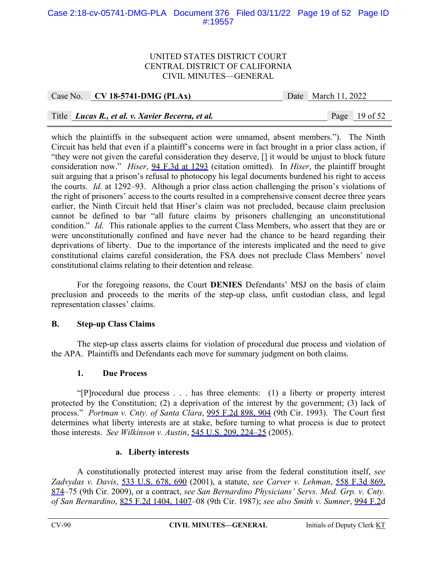# Case 2:18-cv-05741-DMG-PLA Document 376 Filed 03/11/22 Page 19 of 52 Page ID #:19557

#### UNITED STATES DISTRICT COURT CENTRAL DISTRICT OF CALIFORNIA CIVIL MINUTES—GENERAL

|  | Case No. | $CV18-5741-DMG (PLAx)$ |  |
|--|----------|------------------------|--|
|--|----------|------------------------|--|

Date March 11, 2022

# Title *Lucas R., et al. v. Xavier Becerra, et al.* Page 19 of 52

which the plaintiffs in the subsequent action were unnamed, absent members."). The Ninth Circuit has held that even if a plaintiff's concerns were in fact brought in a prior class action, if "they were not given the careful consideration they deserve, [] it would be unjust to block future consideration now." *Hiser*, 94 F.3d at 1293 (citation omitted). In *Hiser*, the plaintiff brought suit arguing that a prison's refusal to photocopy his legal documents burdened his right to access the courts. *Id.* at 1292–93. Although a prior class action challenging the prison's violations of the right of prisoners' access to the courts resulted in a comprehensive consent decree three years earlier, the Ninth Circuit held that Hiser's claim was not precluded, because claim preclusion cannot be defined to bar "all future claims by prisoners challenging an unconstitutional condition." *Id.* This rationale applies to the current Class Members, who assert that they are or were unconstitutionally confined and have never had the chance to be heard regarding their deprivations of liberty. Due to the importance of the interests implicated and the need to give constitutional claims careful consideration, the FSA does not preclude Class Members' novel constitutional claims relating to their detention and release.

 For the foregoing reasons, the Court **DENIES** Defendants' MSJ on the basis of claim preclusion and proceeds to the merits of the step-up class, unfit custodian class, and legal representation classes' claims.

#### **B. Step-up Class Claims**

The step-up class asserts claims for violation of procedural due process and violation of the APA. Plaintiffs and Defendants each move for summary judgment on both claims.

#### **1. Due Process**

"[P]rocedural due process . . . has three elements: (1) a liberty or property interest protected by the Constitution; (2) a deprivation of the interest by the government; (3) lack of process." *Portman v. Cnty. of Santa Clara*, 995 F.2d 898, 904 (9th Cir. 1993). The Court first determines what liberty interests are at stake, before turning to what process is due to protect those interests. *See Wilkinson v. Austin*, 545 U.S. 209, 224–25 (2005).

#### **a. Liberty interests**

A constitutionally protected interest may arise from the federal constitution itself, *see Zadvydas v. Davis*, 533 U.S. 678, 690 (2001), a statute, *see Carver v. Lehman*, 558 F.3d 869, 874–75 (9th Cir. 2009), or a contract, *see San Bernardino Physicians' Servs. Med. Grp. v. Cnty. of San Bernardino*, 825 F.2d 1404, 1407–08 (9th Cir. 1987); *see also Smith v. Sumner*, 994 F.2d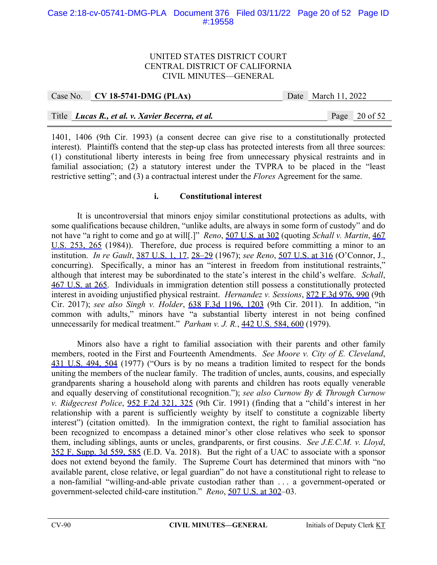# Case 2:18-cv-05741-DMG-PLA Document 376 Filed 03/11/22 Page 20 of 52 Page ID #:19558

## UNITED STATES DISTRICT COURT CENTRAL DISTRICT OF CALIFORNIA CIVIL MINUTES—GENERAL

|  | Case No. CV 18-5741-DMG (PLAx)                   | Date March 11, 2022 |                 |
|--|--------------------------------------------------|---------------------|-----------------|
|  |                                                  |                     |                 |
|  | Title Lucas R., et al. v. Xavier Becerra, et al. |                     | Page $20$ of 52 |

1401, 1406 (9th Cir. 1993) (a consent decree can give rise to a constitutionally protected interest). Plaintiffs contend that the step-up class has protected interests from all three sources: (1) constitutional liberty interests in being free from unnecessary physical restraints and in familial association; (2) a statutory interest under the TVPRA to be placed in the "least restrictive setting"; and (3) a contractual interest under the *Flores* Agreement for the same.

## **i. Constitutional interest**

It is uncontroversial that minors enjoy similar constitutional protections as adults, with some qualifications because children, "unlike adults, are always in some form of custody" and do not have "a right to come and go at will[.]" *Reno*, 507 U.S. at 302 (quoting *Schall v. Martin*, 467 U.S. 253, 265 (1984)).Therefore, due process is required before committing a minor to an institution. *In re Gault*, 387 U.S. 1, 17, 28–29 (1967); *see Reno*, 507 U.S. at 316 (O'Connor, J., concurring). Specifically, a minor has an "interest in freedom from institutional restraints," although that interest may be subordinated to the state's interest in the child's welfare. *Schall*, 467 U.S. at 265. Individuals in immigration detention still possess a constitutionally protected interest in avoiding unjustified physical restraint. *Hernandez v. Sessions*, 872 F.3d 976, 990 (9th Cir. 2017); *see also Singh v. Holder*, 638 F.3d 1196, 1203 (9th Cir. 2011). In addition, "in common with adults," minors have "a substantial liberty interest in not being confined unnecessarily for medical treatment." *Parham v. J. R.*, 442 U.S. 584, 600 (1979).

Minors also have a right to familial association with their parents and other family members, rooted in the First and Fourteenth Amendments. *See Moore v. City of E. Cleveland*, 431 U.S. 494, 504 (1977) ("Ours is by no means a tradition limited to respect for the bonds uniting the members of the nuclear family. The tradition of uncles, aunts, cousins, and especially grandparents sharing a household along with parents and children has roots equally venerable and equally deserving of constitutional recognition."); *see also Curnow By & Through Curnow v. Ridgecrest Police*, 952 F.2d 321, 325 (9th Cir. 1991) (finding that a "child's interest in her relationship with a parent is sufficiently weighty by itself to constitute a cognizable liberty interest") (citation omitted). In the immigration context, the right to familial association has been recognized to encompass a detained minor's other close relatives who seek to sponsor them, including siblings, aunts or uncles, grandparents, or first cousins. *See J.E.C.M. v. Lloyd*, 352 F. Supp. 3d 559, 585 (E.D. Va. 2018). But the right of a UAC to associate with a sponsor does not extend beyond the family. The Supreme Court has determined that minors with "no available parent, close relative, or legal guardian" do not have a constitutional right to release to a non-familial "willing-and-able private custodian rather than . . . a government-operated or government-selected child-care institution." *Reno*, 507 U.S. at 302–03.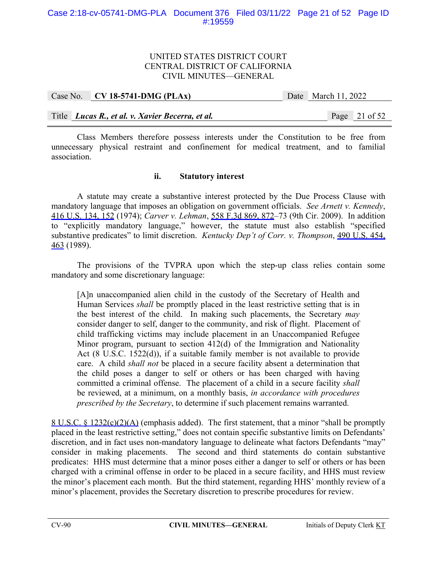# UNITED STATES DISTRICT COURT CENTRAL DISTRICT OF CALIFORNIA CIVIL MINUTES—GENERAL

Case No. **CV 18-5741-DMG (PLAx)** Date March 11, 2022

Title *Lucas R., et al. v. Xavier Becerra, et al.* Page 21 of 52

Class Members therefore possess interests under the Constitution to be free from unnecessary physical restraint and confinement for medical treatment, and to familial association.

# **ii. Statutory interest**

A statute may create a substantive interest protected by the Due Process Clause with mandatory language that imposes an obligation on government officials. *See Arnett v. Kennedy*, 416 U.S. 134, 152 (1974); *Carver v. Lehman*, 558 F.3d 869, 872–73 (9th Cir. 2009). In addition to "explicitly mandatory language," however, the statute must also establish "specified substantive predicates" to limit discretion. *Kentucky Dep't of Corr. v. Thompson*, 490 U.S. 454, 463 (1989).

 The provisions of the TVPRA upon which the step-up class relies contain some mandatory and some discretionary language:

[A]n unaccompanied alien child in the custody of the Secretary of Health and Human Services *shall* be promptly placed in the least restrictive setting that is in the best interest of the child. In making such placements, the Secretary *may* consider danger to self, danger to the community, and risk of flight. Placement of child trafficking victims may include placement in an Unaccompanied Refugee Minor program, pursuant to section 412(d) of the Immigration and Nationality Act (8 U.S.C. 1522(d)), if a suitable family member is not available to provide care. A child *shall not* be placed in a secure facility absent a determination that the child poses a danger to self or others or has been charged with having committed a criminal offense. The placement of a child in a secure facility *shall* be reviewed, at a minimum, on a monthly basis, *in accordance with procedures prescribed by the Secretary*, to determine if such placement remains warranted.

8 U.S.C. § 1232(c)(2)(A) (emphasis added). The first statement, that a minor "shall be promptly placed in the least restrictive setting," does not contain specific substantive limits on Defendants' discretion, and in fact uses non-mandatory language to delineate what factors Defendants "may" consider in making placements. The second and third statements do contain substantive predicates: HHS must determine that a minor poses either a danger to self or others or has been charged with a criminal offense in order to be placed in a secure facility, and HHS must review the minor's placement each month. But the third statement, regarding HHS' monthly review of a minor's placement, provides the Secretary discretion to prescribe procedures for review.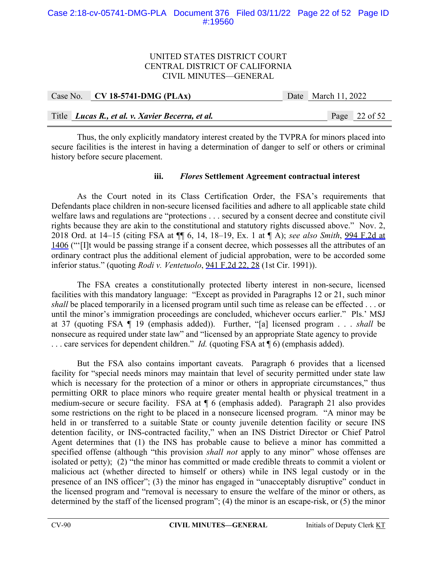## Case 2:18-cv-05741-DMG-PLA Document 376 Filed 03/11/22 Page 22 of 52 Page ID #:19560

## UNITED STATES DISTRICT COURT CENTRAL DISTRICT OF CALIFORNIA CIVIL MINUTES—GENERAL

|  | Case No. CV 18-5741-DMG (PLAx)                   |  | Date March 11, 2022 |                 |
|--|--------------------------------------------------|--|---------------------|-----------------|
|  |                                                  |  |                     |                 |
|  | Title Lucas R., et al. v. Xavier Becerra, et al. |  |                     | Page $22$ of 52 |

Thus, the only explicitly mandatory interest created by the TVPRA for minors placed into secure facilities is the interest in having a determination of danger to self or others or criminal history before secure placement.

# **iii.** *Flores* **Settlement Agreement contractual interest**

As the Court noted in its Class Certification Order, the FSA's requirements that Defendants place children in non-secure licensed facilities and adhere to all applicable state child welfare laws and regulations are "protections . . . secured by a consent decree and constitute civil rights because they are akin to the constitutional and statutory rights discussed above." Nov. 2, 2018 Ord. at 14–15 (citing FSA at ¶¶ 6, 14, 18–19, Ex. 1 at ¶ A); *see also Smith*, 994 F.2d at 1406 ("'[I]t would be passing strange if a consent decree, which possesses all the attributes of an ordinary contract plus the additional element of judicial approbation, were to be accorded some inferior status." (quoting *Rodi v. Ventetuolo*, 941 F.2d 22, 28 (1st Cir. 1991)).

The FSA creates a constitutionally protected liberty interest in non-secure, licensed facilities with this mandatory language: "Except as provided in Paragraphs 12 or 21, such minor *shall* be placed temporarily in a licensed program until such time as release can be effected . . . or until the minor's immigration proceedings are concluded, whichever occurs earlier." Pls.' MSJ at 37 (quoting FSA ¶ 19 (emphasis added)). Further, "[a] licensed program . . . *shall* be nonsecure as required under state law" and "licensed by an appropriate State agency to provide . . . care services for dependent children." *Id.* (quoting FSA at ¶ 6) (emphasis added).

But the FSA also contains important caveats. Paragraph 6 provides that a licensed facility for "special needs minors may maintain that level of security permitted under state law which is necessary for the protection of a minor or others in appropriate circumstances," thus permitting ORR to place minors who require greater mental health or physical treatment in a medium-secure or secure facility. FSA at ¶ 6 (emphasis added). Paragraph 21 also provides some restrictions on the right to be placed in a nonsecure licensed program. "A minor may be held in or transferred to a suitable State or county juvenile detention facility or secure INS detention facility, or INS-contracted facility," when an INS District Director or Chief Patrol Agent determines that (1) the INS has probable cause to believe a minor has committed a specified offense (although "this provision *shall not* apply to any minor" whose offenses are isolated or petty); (2) "the minor has committed or made credible threats to commit a violent or malicious act (whether directed to himself or others) while in INS legal custody or in the presence of an INS officer"; (3) the minor has engaged in "unacceptably disruptive" conduct in the licensed program and "removal is necessary to ensure the welfare of the minor or others, as determined by the staff of the licensed program"; (4) the minor is an escape-risk, or (5) the minor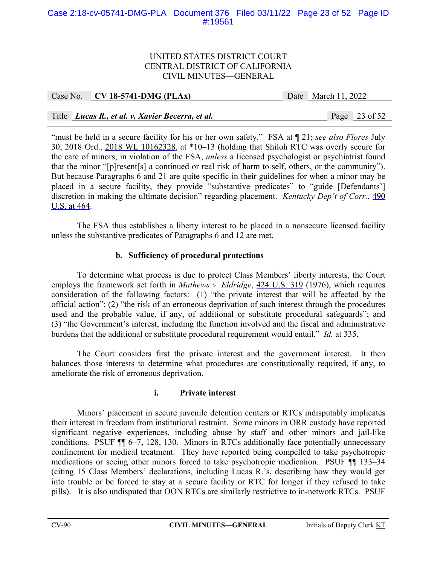# Case 2:18-cv-05741-DMG-PLA Document 376 Filed 03/11/22 Page 23 of 52 Page ID #:19561

## UNITED STATES DISTRICT COURT CENTRAL DISTRICT OF CALIFORNIA CIVIL MINUTES—GENERAL

# Case No. **CV 18-5741-DMG (PLAx)** Date March 11, 2022

# Title *Lucas R., et al. v. Xavier Becerra, et al.* Page 23 of 52

"must be held in a secure facility for his or her own safety." FSA at ¶ 21; *see also Flores* July 30, 2018 Ord., 2018 WL 10162328, at \*10–13 (holding that Shiloh RTC was overly secure for the care of minors, in violation of the FSA, *unless* a licensed psychologist or psychiatrist found that the minor "[p]resent[s] a continued or real risk of harm to self, others, or the community"). But because Paragraphs 6 and 21 are quite specific in their guidelines for when a minor may be placed in a secure facility, they provide "substantive predicates" to "guide [Defendants'] discretion in making the ultimate decision" regarding placement. *Kentucky Dep't of Corr.*, 490 U.S. at 464.

The FSA thus establishes a liberty interest to be placed in a nonsecure licensed facility unless the substantive predicates of Paragraphs 6 and 12 are met.

# **b. Sufficiency of procedural protections**

To determine what process is due to protect Class Members' liberty interests, the Court employs the framework set forth in *Mathews v. Eldridge*, 424 U.S. 319 (1976), which requires consideration of the following factors: (1) "the private interest that will be affected by the official action"; (2) "the risk of an erroneous deprivation of such interest through the procedures used and the probable value, if any, of additional or substitute procedural safeguards"; and (3) "the Government's interest, including the function involved and the fiscal and administrative burdens that the additional or substitute procedural requirement would entail." *Id.* at 335.

The Court considers first the private interest and the government interest. It then balances those interests to determine what procedures are constitutionally required, if any, to ameliorate the risk of erroneous deprivation.

#### **i. Private interest**

Minors' placement in secure juvenile detention centers or RTCs indisputably implicates their interest in freedom from institutional restraint. Some minors in ORR custody have reported significant negative experiences, including abuse by staff and other minors and jail-like conditions. PSUF ¶¶ 6–7, 128, 130. Minors in RTCs additionally face potentially unnecessary confinement for medical treatment. They have reported being compelled to take psychotropic medications or seeing other minors forced to take psychotropic medication. PSUF ¶¶ 133–34 (citing 15 Class Members' declarations, including Lucas R.'s, describing how they would get into trouble or be forced to stay at a secure facility or RTC for longer if they refused to take pills). It is also undisputed that OON RTCs are similarly restrictive to in-network RTCs. PSUF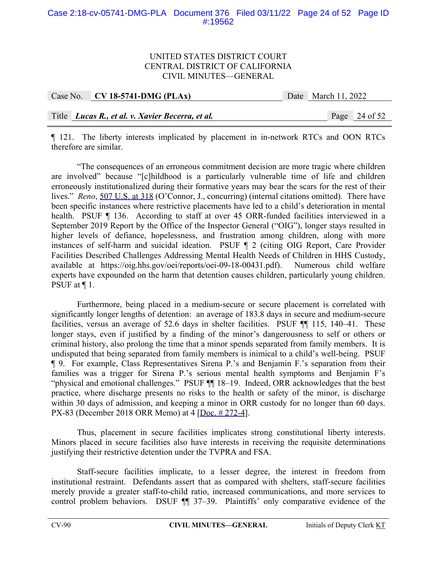## Case 2:18-cv-05741-DMG-PLA Document 376 Filed 03/11/22 Page 24 of 52 Page ID #:19562

## UNITED STATES DISTRICT COURT CENTRAL DISTRICT OF CALIFORNIA CIVIL MINUTES—GENERAL

| Case No. CV 18-5741-DMG (PLAx)                   | Date March 11, 2022 |                 |
|--------------------------------------------------|---------------------|-----------------|
|                                                  |                     |                 |
| Title Lucas R., et al. v. Xavier Becerra, et al. |                     | Page $24$ of 52 |

¶ 121. The liberty interests implicated by placement in in-network RTCs and OON RTCs therefore are similar.

"The consequences of an erroneous commitment decision are more tragic where children are involved" because "[c]hildhood is a particularly vulnerable time of life and children erroneously institutionalized during their formative years may bear the scars for the rest of their lives." *Reno*, 507 U.S. at 318 (O'Connor, J., concurring) (internal citations omitted). There have been specific instances where restrictive placements have led to a child's deterioration in mental health. PSUF ¶ 136. According to staff at over 45 ORR-funded facilities interviewed in a September 2019 Report by the Office of the Inspector General ("OIG"), longer stays resulted in higher levels of defiance, hopelessness, and frustration among children, along with more instances of self-harm and suicidal ideation. PSUF ¶ 2 (citing OIG Report, Care Provider Facilities Described Challenges Addressing Mental Health Needs of Children in HHS Custody, available at https://oig.hhs.gov/oei/reports/oei-09-18-00431.pdf). Numerous child welfare experts have expounded on the harm that detention causes children, particularly young children. PSUF at ¶ 1.

Furthermore, being placed in a medium-secure or secure placement is correlated with significantly longer lengths of detention: an average of 183.8 days in secure and medium-secure facilities, versus an average of 52.6 days in shelter facilities. PSUF ¶¶ 115, 140–41. These longer stays, even if justified by a finding of the minor's dangerousness to self or others or criminal history, also prolong the time that a minor spends separated from family members. It is undisputed that being separated from family members is inimical to a child's well-being. PSUF ¶ 9. For example, Class Representatives Sirena P.'s and Benjamin F.'s separation from their families was a trigger for Sirena P.'s serious mental health symptoms and Benjamin F's "physical and emotional challenges." PSUF ¶¶ 18–19. Indeed, ORR acknowledges that the best practice, where discharge presents no risks to the health or safety of the minor, is discharge within 30 days of admission, and keeping a minor in ORR custody for no longer than 60 days. PX-83 (December 2018 ORR Memo) at 4 [Doc. # 272-4].

Thus, placement in secure facilities implicates strong constitutional liberty interests. Minors placed in secure facilities also have interests in receiving the requisite determinations justifying their restrictive detention under the TVPRA and FSA.

Staff-secure facilities implicate, to a lesser degree, the interest in freedom from institutional restraint. Defendants assert that as compared with shelters, staff-secure facilities merely provide a greater staff-to-child ratio, increased communications, and more services to control problem behaviors. DSUF  $\P$  37-39. Plaintiffs' only comparative evidence of the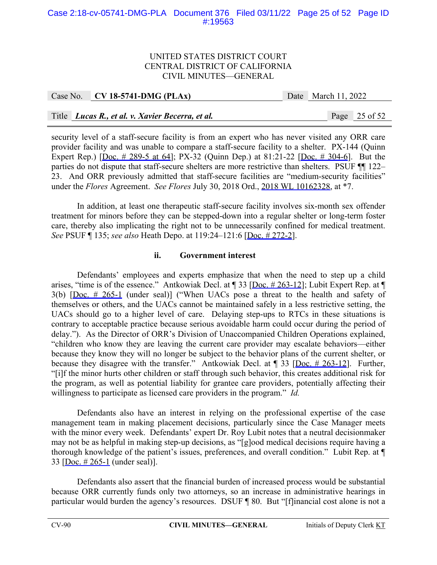# Case 2:18-cv-05741-DMG-PLA Document 376 Filed 03/11/22 Page 25 of 52 Page ID #:19563

#### UNITED STATES DISTRICT COURT CENTRAL DISTRICT OF CALIFORNIA CIVIL MINUTES—GENERAL

| Case No. $\vert$ CV 18-5741-DMG (PLAx)           | Date March 11, 2022 |                 |
|--------------------------------------------------|---------------------|-----------------|
|                                                  |                     |                 |
| Title Lucas R., et al. v. Xavier Becerra, et al. |                     | Page $25$ of 52 |

security level of a staff-secure facility is from an expert who has never visited any ORR care provider facility and was unable to compare a staff-secure facility to a shelter. PX-144 (Quinn Expert Rep.) [Doc. # 289-5 at 64]; PX-32 (Quinn Dep.) at 81:21-22 [Doc. # 304-6]. But the parties do not dispute that staff-secure shelters are more restrictive than shelters. PSUF ¶¶ 122– 23. And ORR previously admitted that staff-secure facilities are "medium-security facilities" under the *Flores* Agreement. *See Flores* July 30, 2018 Ord., 2018 WL 10162328, at \*7.

In addition, at least one therapeutic staff-secure facility involves six-month sex offender treatment for minors before they can be stepped-down into a regular shelter or long-term foster care, thereby also implicating the right not to be unnecessarily confined for medical treatment. *See* PSUF ¶ 135; *see also* Heath Depo. at 119:24–121:6 [Doc. # 272-2].

# **ii. Government interest**

Defendants' employees and experts emphasize that when the need to step up a child arises, "time is of the essence." Antkowiak Decl. at ¶ 33 [Doc. # 263-12]; Lubit Expert Rep. at ¶ 3(b) [Doc. # 265-1 (under seal)] ("When UACs pose a threat to the health and safety of themselves or others, and the UACs cannot be maintained safely in a less restrictive setting, the UACs should go to a higher level of care. Delaying step-ups to RTCs in these situations is contrary to acceptable practice because serious avoidable harm could occur during the period of delay."). As the Director of ORR's Division of Unaccompanied Children Operations explained, "children who know they are leaving the current care provider may escalate behaviors—either because they know they will no longer be subject to the behavior plans of the current shelter, or because they disagree with the transfer." Antkowiak Decl. at  $\P$  33 [Doc. # 263-12]. Further, "[i]f the minor hurts other children or staff through such behavior, this creates additional risk for the program, as well as potential liability for grantee care providers, potentially affecting their willingness to participate as licensed care providers in the program." *Id.* 

Defendants also have an interest in relying on the professional expertise of the case management team in making placement decisions, particularly since the Case Manager meets with the minor every week. Defendants' expert Dr. Roy Lubit notes that a neutral decisionmaker may not be as helpful in making step-up decisions, as "[g]ood medical decisions require having a thorough knowledge of the patient's issues, preferences, and overall condition." Lubit Rep. at ¶ 33 [Doc. # 265-1 (under seal)].

Defendants also assert that the financial burden of increased process would be substantial because ORR currently funds only two attorneys, so an increase in administrative hearings in particular would burden the agency's resources. DSUF ¶ 80. But "[f]inancial cost alone is not a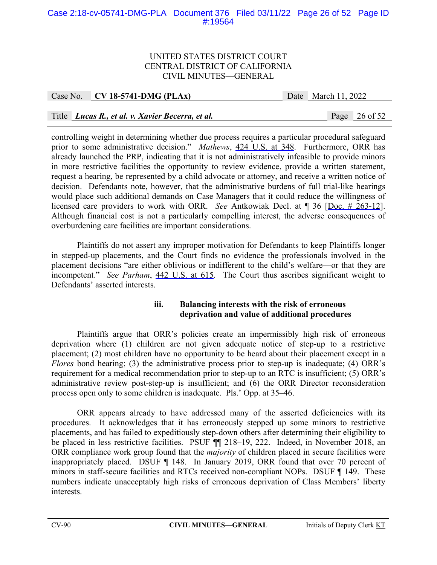# Case 2:18-cv-05741-DMG-PLA Document 376 Filed 03/11/22 Page 26 of 52 Page ID #:19564

#### UNITED STATES DISTRICT COURT CENTRAL DISTRICT OF CALIFORNIA CIVIL MINUTES—GENERAL

Case No. **CV 18-5741-DMG (PLAx)** Date March 11, 2022

# Title *Lucas R., et al. v. Xavier Becerra, et al.* Page 26 of 52

controlling weight in determining whether due process requires a particular procedural safeguard prior to some administrative decision." *Mathews*, 424 U.S. at 348. Furthermore, ORR has already launched the PRP, indicating that it is not administratively infeasible to provide minors in more restrictive facilities the opportunity to review evidence, provide a written statement, request a hearing, be represented by a child advocate or attorney, and receive a written notice of decision. Defendants note, however, that the administrative burdens of full trial-like hearings would place such additional demands on Case Managers that it could reduce the willingness of licensed care providers to work with ORR. *See* Antkowiak Decl. at ¶ 36 [Doc. # 263-12]. Although financial cost is not a particularly compelling interest, the adverse consequences of overburdening care facilities are important considerations.

Plaintiffs do not assert any improper motivation for Defendants to keep Plaintiffs longer in stepped-up placements, and the Court finds no evidence the professionals involved in the placement decisions "are either oblivious or indifferent to the child's welfare—or that they are incompetent." *See Parham*, 442 U.S. at 615. The Court thus ascribes significant weight to Defendants' asserted interests.

# **iii. Balancing interests with the risk of erroneous deprivation and value of additional procedures**

Plaintiffs argue that ORR's policies create an impermissibly high risk of erroneous deprivation where (1) children are not given adequate notice of step-up to a restrictive placement; (2) most children have no opportunity to be heard about their placement except in a *Flores* bond hearing; (3) the administrative process prior to step-up is inadequate; (4) ORR's requirement for a medical recommendation prior to step-up to an RTC is insufficient; (5) ORR's administrative review post-step-up is insufficient; and (6) the ORR Director reconsideration process open only to some children is inadequate. Pls.' Opp. at 35–46.

 ORR appears already to have addressed many of the asserted deficiencies with its procedures. It acknowledges that it has erroneously stepped up some minors to restrictive placements, and has failed to expeditiously step-down others after determining their eligibility to be placed in less restrictive facilities. PSUF ¶¶ 218–19, 222. Indeed, in November 2018, an ORR compliance work group found that the *majority* of children placed in secure facilities were inappropriately placed. DSUF ¶ 148. In January 2019, ORR found that over 70 percent of minors in staff-secure facilities and RTCs received non-compliant NOPs. DSUF ¶ 149. These numbers indicate unacceptably high risks of erroneous deprivation of Class Members' liberty interests.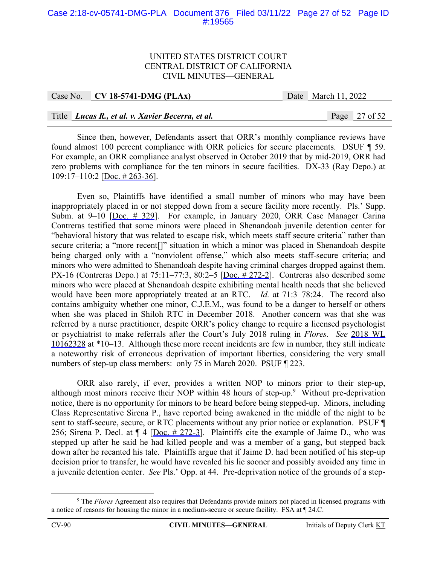## Case 2:18-cv-05741-DMG-PLA Document 376 Filed 03/11/22 Page 27 of 52 Page ID #:19565

#### UNITED STATES DISTRICT COURT CENTRAL DISTRICT OF CALIFORNIA CIVIL MINUTES—GENERAL

| Case No. $CV$ 18-5741-DMG (PLAx)                 | Date March 11, 2022 |                 |
|--------------------------------------------------|---------------------|-----------------|
|                                                  |                     |                 |
| Title Lucas R., et al. v. Xavier Becerra, et al. |                     | Page $27$ of 52 |

Since then, however, Defendants assert that ORR's monthly compliance reviews have found almost 100 percent compliance with ORR policies for secure placements. DSUF ¶ 59. For example, an ORR compliance analyst observed in October 2019 that by mid-2019, ORR had zero problems with compliance for the ten minors in secure facilities. DX-33 (Ray Depo.) at 109:17–110:2 [Doc. # 263-36].

Even so, Plaintiffs have identified a small number of minors who may have been inappropriately placed in or not stepped down from a secure facility more recently. Pls.' Supp. Subm. at  $9-10$  [Doc. # 329]. For example, in January 2020, ORR Case Manager Carina Contreras testified that some minors were placed in Shenandoah juvenile detention center for "behavioral history that was related to escape risk, which meets staff secure criteria" rather than secure criteria; a "more recent<sup>[]"</sup> situation in which a minor was placed in Shenandoah despite being charged only with a "nonviolent offense," which also meets staff-secure criteria; and minors who were admitted to Shenandoah despite having criminal charges dropped against them. PX-16 (Contreras Depo.) at  $75:11-77:3$ ,  $80:2-5$  [Doc.  $\# 272-2$ ]. Contreras also described some minors who were placed at Shenandoah despite exhibiting mental health needs that she believed would have been more appropriately treated at an RTC. *Id.* at 71:3–78:24. The record also contains ambiguity whether one minor, C.J.E.M., was found to be a danger to herself or others when she was placed in Shiloh RTC in December 2018. Another concern was that she was referred by a nurse practitioner, despite ORR's policy change to require a licensed psychologist or psychiatrist to make referrals after the Court's July 2018 ruling in *Flores. See* 2018 WL 10162328 at \*10–13. Although these more recent incidents are few in number, they still indicate a noteworthy risk of erroneous deprivation of important liberties, considering the very small numbers of step-up class members: only 75 in March 2020. PSUF ¶ 223.

ORR also rarely, if ever, provides a written NOP to minors prior to their step-up, although most minors receive their NOP within 48 hours of step-up.<sup>9</sup> Without pre-deprivation notice, there is no opportunity for minors to be heard before being stepped-up. Minors, including Class Representative Sirena P., have reported being awakened in the middle of the night to be sent to staff-secure, secure, or RTC placements without any prior notice or explanation. PSUF ¶ 256; Sirena P. Decl. at  $\P$  4 [Doc.  $\#$  272-3]. Plaintiffs cite the example of Jaime D., who was stepped up after he said he had killed people and was a member of a gang, but stepped back down after he recanted his tale. Plaintiffs argue that if Jaime D. had been notified of his step-up decision prior to transfer, he would have revealed his lie sooner and possibly avoided any time in a juvenile detention center. *See* Pls.' Opp. at 44. Pre-deprivation notice of the grounds of a step-

 <sup>9</sup> <sup>9</sup> The *Flores* Agreement also requires that Defendants provide minors not placed in licensed programs with a notice of reasons for housing the minor in a medium-secure or secure facility. FSA at ¶ 24.C.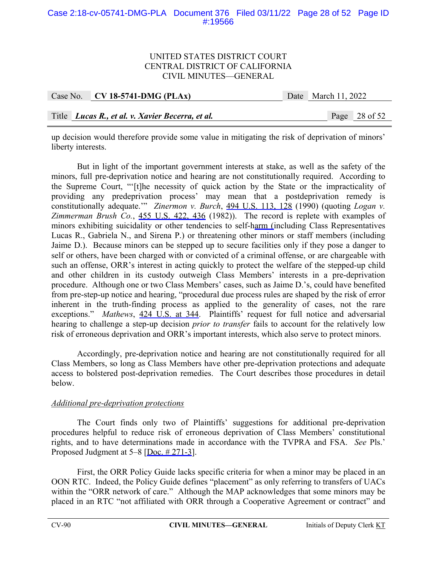# Case 2:18-cv-05741-DMG-PLA Document 376 Filed 03/11/22 Page 28 of 52 Page ID #:19566

## UNITED STATES DISTRICT COURT CENTRAL DISTRICT OF CALIFORNIA CIVIL MINUTES—GENERAL

| Case No. CV 18-5741-DMG (PLAx)                     | Date March 11, 2022 |                 |
|----------------------------------------------------|---------------------|-----------------|
|                                                    |                     |                 |
| Title   Lucas R., et al. v. Xavier Becerra, et al. |                     | Page $28$ of 52 |

up decision would therefore provide some value in mitigating the risk of deprivation of minors' liberty interests.

But in light of the important government interests at stake, as well as the safety of the minors, full pre-deprivation notice and hearing are not constitutionally required. According to the Supreme Court, "'[t]he necessity of quick action by the State or the impracticality of providing any predeprivation process' may mean that a postdeprivation remedy is constitutionally adequate.'" *Zinermon v. Burch*, 494 U.S. 113, 128 (1990) (quoting *Logan v. Zimmerman Brush Co.*, 455 U.S. 422, 436 (1982)). The record is replete with examples of minors exhibiting suicidality or other tendencies to self-harm (including Class Representatives Lucas R., Gabriela N., and Sirena P.) or threatening other minors or staff members (including Jaime D.). Because minors can be stepped up to secure facilities only if they pose a danger to self or others, have been charged with or convicted of a criminal offense, or are chargeable with such an offense, ORR's interest in acting quickly to protect the welfare of the stepped-up child and other children in its custody outweigh Class Members' interests in a pre-deprivation procedure. Although one or two Class Members' cases, such as Jaime D.'s, could have benefited from pre-step-up notice and hearing, "procedural due process rules are shaped by the risk of error inherent in the truth-finding process as applied to the generality of cases, not the rare exceptions." *Mathews*, 424 U.S. at 344. Plaintiffs' request for full notice and adversarial hearing to challenge a step-up decision *prior to transfer* fails to account for the relatively low risk of erroneous deprivation and ORR's important interests, which also serve to protect minors.

Accordingly, pre-deprivation notice and hearing are not constitutionally required for all Class Members, so long as Class Members have other pre-deprivation protections and adequate access to bolstered post-deprivation remedies. The Court describes those procedures in detail below.

# *Additional pre-deprivation protections*

The Court finds only two of Plaintiffs' suggestions for additional pre-deprivation procedures helpful to reduce risk of erroneous deprivation of Class Members' constitutional rights, and to have determinations made in accordance with the TVPRA and FSA. *See* Pls.' Proposed Judgment at 5–8 [Doc. # 271-3].

First, the ORR Policy Guide lacks specific criteria for when a minor may be placed in an OON RTC. Indeed, the Policy Guide defines "placement" as only referring to transfers of UACs within the "ORR network of care." Although the MAP acknowledges that some minors may be placed in an RTC "not affiliated with ORR through a Cooperative Agreement or contract" and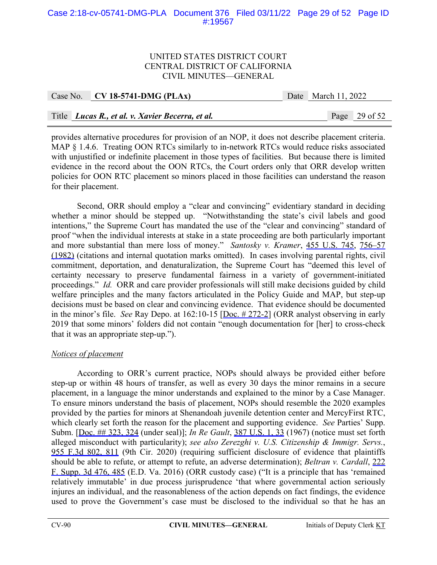# Case 2:18-cv-05741-DMG-PLA Document 376 Filed 03/11/22 Page 29 of 52 Page ID #:19567

#### UNITED STATES DISTRICT COURT CENTRAL DISTRICT OF CALIFORNIA CIVIL MINUTES—GENERAL

| Case No. $CV$ 18-5741-DMG (PLAx)                 | Date March 11, 2022 |                 |
|--------------------------------------------------|---------------------|-----------------|
|                                                  |                     |                 |
| Title Lucas R., et al. v. Xavier Becerra, et al. |                     | Page $29$ of 52 |

provides alternative procedures for provision of an NOP, it does not describe placement criteria. MAP § 1.4.6. Treating OON RTCs similarly to in-network RTCs would reduce risks associated with unjustified or indefinite placement in those types of facilities. But because there is limited evidence in the record about the OON RTCs, the Court orders only that ORR develop written policies for OON RTC placement so minors placed in those facilities can understand the reason for their placement.

Second, ORR should employ a "clear and convincing" evidentiary standard in deciding whether a minor should be stepped up. "Notwithstanding the state's civil labels and good intentions," the Supreme Court has mandated the use of the "clear and convincing" standard of proof "when the individual interests at stake in a state proceeding are both particularly important and more substantial than mere loss of money." *Santosky v. Kramer*, 455 U.S. 745, 756–57 (1982) (citations and internal quotation marks omitted). In cases involving parental rights, civil commitment, deportation, and denaturalization, the Supreme Court has "deemed this level of certainty necessary to preserve fundamental fairness in a variety of government-initiated proceedings." *Id.* ORR and care provider professionals will still make decisions guided by child welfare principles and the many factors articulated in the Policy Guide and MAP, but step-up decisions must be based on clear and convincing evidence. That evidence should be documented in the minor's file. *See* Ray Depo. at 162:10-15 [Doc. # 272-2] (ORR analyst observing in early 2019 that some minors' folders did not contain "enough documentation for [her] to cross-check that it was an appropriate step-up.").

# *Notices of placement*

According to ORR's current practice, NOPs should always be provided either before step-up or within 48 hours of transfer, as well as every 30 days the minor remains in a secure placement, in a language the minor understands and explained to the minor by a Case Manager. To ensure minors understand the basis of placement, NOPs should resemble the 2020 examples provided by the parties for minors at Shenandoah juvenile detention center and MercyFirst RTC, which clearly set forth the reason for the placement and supporting evidence. *See* Parties' Supp. Subm. [Doc. ## 323, 324 (under seal)]; *In Re Gault*, 387 U.S. 1, 33 (1967) (notice must set forth alleged misconduct with particularity); *see also Zerezghi v. U.S. Citizenship & Immigr. Servs.*, 955 F.3d 802, 811 (9th Cir. 2020) (requiring sufficient disclosure of evidence that plaintiffs should be able to refute, or attempt to refute, an adverse determination); *Beltran v. Cardall*, 222 F. Supp. 3d 476, 485 (E.D. Va. 2016) (ORR custody case) ("It is a principle that has 'remained relatively immutable' in due process jurisprudence 'that where governmental action seriously injures an individual, and the reasonableness of the action depends on fact findings, the evidence used to prove the Government's case must be disclosed to the individual so that he has an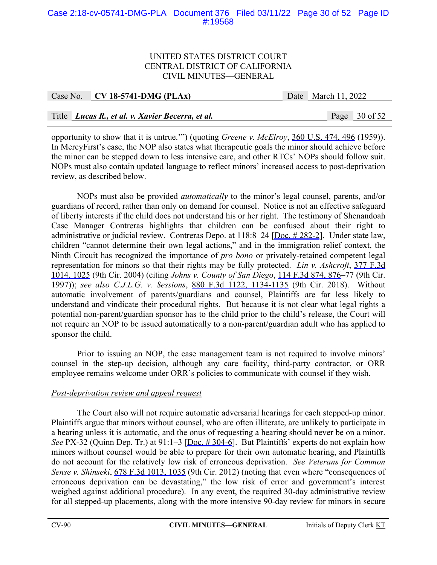# Case 2:18-cv-05741-DMG-PLA Document 376 Filed 03/11/22 Page 30 of 52 Page ID #:19568

## UNITED STATES DISTRICT COURT CENTRAL DISTRICT OF CALIFORNIA CIVIL MINUTES—GENERAL

| Case No. $CV$ 18-5741-DMG (PLAx)                 | Date March 11, 2022 |                 |
|--------------------------------------------------|---------------------|-----------------|
|                                                  |                     |                 |
| Title Lucas R., et al. v. Xavier Becerra, et al. |                     | Page $30$ of 52 |

opportunity to show that it is untrue.'") (quoting *Greene v. McElroy*, 360 U.S. 474, 496 (1959)). In MercyFirst's case, the NOP also states what therapeutic goals the minor should achieve before the minor can be stepped down to less intensive care, and other RTCs' NOPs should follow suit. NOPs must also contain updated language to reflect minors' increased access to post-deprivation review, as described below.

NOPs must also be provided *automatically* to the minor's legal counsel, parents, and/or guardians of record, rather than only on demand for counsel. Notice is not an effective safeguard of liberty interests if the child does not understand his or her right. The testimony of Shenandoah Case Manager Contreras highlights that children can be confused about their right to administrative or judicial review. Contreras Depo. at 118:8–24 [Doc. # 282-2]. Under state law, children "cannot determine their own legal actions," and in the immigration relief context, the Ninth Circuit has recognized the importance of *pro bono* or privately-retained competent legal representation for minors so that their rights may be fully protected. *Lin v. Ashcroft*, 377 F.3d 1014, 1025 (9th Cir. 2004) (citing *Johns v. County of San Diego*, 114 F.3d 874, 876–77 (9th Cir. 1997)); *see also C.J.L.G. v. Sessions*, 880 F.3d 1122, 1134-1135 (9th Cir. 2018). Without automatic involvement of parents/guardians and counsel, Plaintiffs are far less likely to understand and vindicate their procedural rights. But because it is not clear what legal rights a potential non-parent/guardian sponsor has to the child prior to the child's release, the Court will not require an NOP to be issued automatically to a non-parent/guardian adult who has applied to sponsor the child.

Prior to issuing an NOP, the case management team is not required to involve minors' counsel in the step-up decision, although any care facility, third-party contractor, or ORR employee remains welcome under ORR's policies to communicate with counsel if they wish.

# *Post-deprivation review and appeal request*

 The Court also will not require automatic adversarial hearings for each stepped-up minor. Plaintiffs argue that minors without counsel, who are often illiterate, are unlikely to participate in a hearing unless it is automatic, and the onus of requesting a hearing should never be on a minor. *See PX-32 (Quinn Dep. Tr.) at 91:1–3 [Doc. # 304-6]. But Plaintiffs' experts do not explain how* minors without counsel would be able to prepare for their own automatic hearing, and Plaintiffs do not account for the relatively low risk of erroneous deprivation. *See Veterans for Common Sense v. Shinseki*, 678 F.3d 1013, 1035 (9th Cir. 2012) (noting that even where "consequences of erroneous deprivation can be devastating," the low risk of error and government's interest weighed against additional procedure). In any event, the required 30-day administrative review for all stepped-up placements, along with the more intensive 90-day review for minors in secure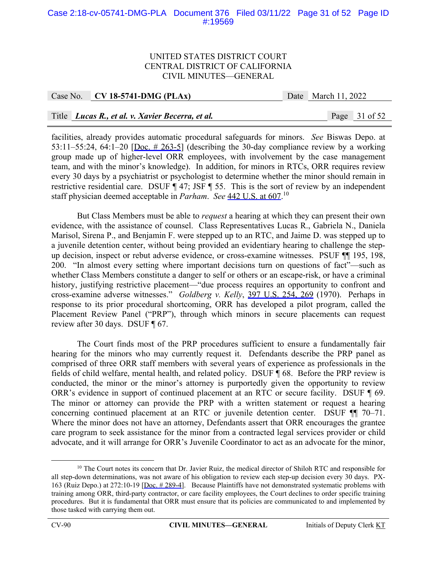# Case 2:18-cv-05741-DMG-PLA Document 376 Filed 03/11/22 Page 31 of 52 Page ID #:19569

#### UNITED STATES DISTRICT COURT CENTRAL DISTRICT OF CALIFORNIA CIVIL MINUTES—GENERAL

| Case No. $\vert$ CV 18-5741-DMG (PLAx)           | Date March 11, 2022 |                 |
|--------------------------------------------------|---------------------|-----------------|
|                                                  |                     |                 |
| Title Lucas R., et al. v. Xavier Becerra, et al. |                     | Page $31$ of 52 |

facilities, already provides automatic procedural safeguards for minors. *See* Biswas Depo. at 53:11–55:24, 64:1–20 [Doc.  $\#$  263-5] (describing the 30-day compliance review by a working group made up of higher-level ORR employees, with involvement by the case management team, and with the minor's knowledge). In addition, for minors in RTCs, ORR requires review every 30 days by a psychiatrist or psychologist to determine whether the minor should remain in restrictive residential care. DSUF ¶ 47; JSF ¶ 55. This is the sort of review by an independent staff physician deemed acceptable in *Parham*. *See* 442 U.S. at 607.10

But Class Members must be able to *request* a hearing at which they can present their own evidence, with the assistance of counsel. Class Representatives Lucas R., Gabriela N., Daniela Marisol, Sirena P., and Benjamin F. were stepped up to an RTC, and Jaime D. was stepped up to a juvenile detention center, without being provided an evidentiary hearing to challenge the stepup decision, inspect or rebut adverse evidence, or cross-examine witnesses. PSUF ¶¶ 195, 198, 200. "In almost every setting where important decisions turn on questions of fact"—such as whether Class Members constitute a danger to self or others or an escape-risk, or have a criminal history, justifying restrictive placement—"due process requires an opportunity to confront and cross-examine adverse witnesses." *Goldberg v. Kelly*, 397 U.S. 254, 269 (1970). Perhaps in response to its prior procedural shortcoming, ORR has developed a pilot program, called the Placement Review Panel ("PRP"), through which minors in secure placements can request review after 30 days. DSUF ¶ 67.

The Court finds most of the PRP procedures sufficient to ensure a fundamentally fair hearing for the minors who may currently request it. Defendants describe the PRP panel as comprised of three ORR staff members with several years of experience as professionals in the fields of child welfare, mental health, and related policy. DSUF ¶ 68. Before the PRP review is conducted, the minor or the minor's attorney is purportedly given the opportunity to review ORR's evidence in support of continued placement at an RTC or secure facility. DSUF ¶ 69. The minor or attorney can provide the PRP with a written statement or request a hearing concerning continued placement at an RTC or juvenile detention center. DSUF ¶¶ 70–71. Where the minor does not have an attorney, Defendants assert that ORR encourages the grantee care program to seek assistance for the minor from a contracted legal services provider or child advocate, and it will arrange for ORR's Juvenile Coordinator to act as an advocate for the minor,

<sup>&</sup>lt;sup>10</sup> The Court notes its concern that Dr. Javier Ruiz, the medical director of Shiloh RTC and responsible for all step-down determinations, was not aware of his obligation to review each step-up decision every 30 days. PX-163 (Ruiz Depo.) at 272:10-19 [Doc. # 289-4]. Because Plaintiffs have not demonstrated systematic problems with training among ORR, third-party contractor, or care facility employees, the Court declines to order specific training procedures. But it is fundamental that ORR must ensure that its policies are communicated to and implemented by those tasked with carrying them out.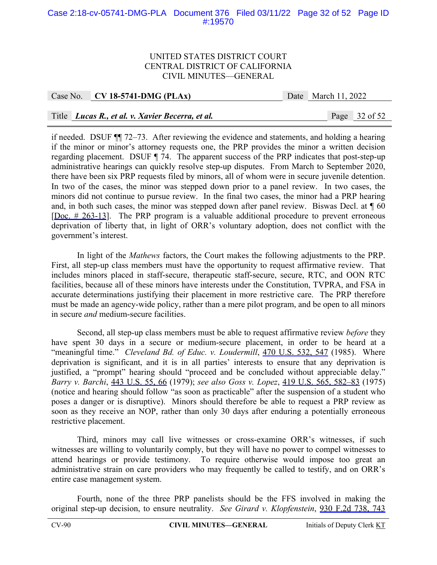# Case 2:18-cv-05741-DMG-PLA Document 376 Filed 03/11/22 Page 32 of 52 Page ID #:19570

#### UNITED STATES DISTRICT COURT CENTRAL DISTRICT OF CALIFORNIA CIVIL MINUTES—GENERAL

| Case No. CV 18-5741-DMG (PLAx) |
|--------------------------------|
|                                |

Date March 11, 2022

# Title *Lucas R., et al. v. Xavier Becerra, et al.* Page 32 of 52

if needed. DSUF ¶¶ 72–73. After reviewing the evidence and statements, and holding a hearing if the minor or minor's attorney requests one, the PRP provides the minor a written decision regarding placement. DSUF ¶ 74. The apparent success of the PRP indicates that post-step-up administrative hearings can quickly resolve step-up disputes. From March to September 2020, there have been six PRP requests filed by minors, all of whom were in secure juvenile detention. In two of the cases, the minor was stepped down prior to a panel review. In two cases, the minors did not continue to pursue review. In the final two cases, the minor had a PRP hearing and, in both such cases, the minor was stepped down after panel review. Biswas Decl. at  $\P$  60 [Doc. # 263-13]. The PRP program is a valuable additional procedure to prevent erroneous deprivation of liberty that, in light of ORR's voluntary adoption, does not conflict with the government's interest.

In light of the *Mathews* factors, the Court makes the following adjustments to the PRP. First, all step-up class members must have the opportunity to request affirmative review. That includes minors placed in staff-secure, therapeutic staff-secure, secure, RTC, and OON RTC facilities, because all of these minors have interests under the Constitution, TVPRA, and FSA in accurate determinations justifying their placement in more restrictive care. The PRP therefore must be made an agency-wide policy, rather than a mere pilot program, and be open to all minors in secure *and* medium-secure facilities.

Second, all step-up class members must be able to request affirmative review *before* they have spent 30 days in a secure or medium-secure placement, in order to be heard at a "meaningful time." *Cleveland Bd. of Educ. v. Loudermill*, 470 U.S. 532, 547 (1985). Where deprivation is significant, and it is in all parties' interests to ensure that any deprivation is justified, a "prompt" hearing should "proceed and be concluded without appreciable delay." *Barry v. Barchi*, 443 U.S. 55, 66 (1979); *see also Goss v. Lopez*, 419 U.S. 565, 582–83 (1975) (notice and hearing should follow "as soon as practicable" after the suspension of a student who poses a danger or is disruptive). Minors should therefore be able to request a PRP review as soon as they receive an NOP, rather than only 30 days after enduring a potentially erroneous restrictive placement.

Third, minors may call live witnesses or cross-examine ORR's witnesses, if such witnesses are willing to voluntarily comply, but they will have no power to compel witnesses to attend hearings or provide testimony. To require otherwise would impose too great an administrative strain on care providers who may frequently be called to testify, and on ORR's entire case management system.

Fourth, none of the three PRP panelists should be the FFS involved in making the original step-up decision, to ensure neutrality. *See Girard v. Klopfenstein*, 930 F.2d 738, 743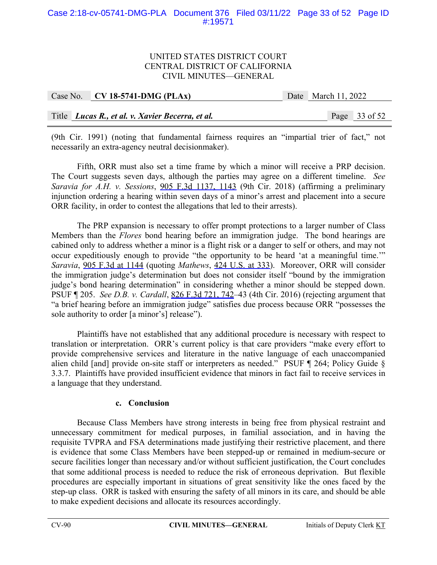# Case 2:18-cv-05741-DMG-PLA Document 376 Filed 03/11/22 Page 33 of 52 Page ID #:19571

## UNITED STATES DISTRICT COURT CENTRAL DISTRICT OF CALIFORNIA CIVIL MINUTES—GENERAL

| Case No. CV 18-5741-DMG (PLAx)                   | Date March 11, 2022 |               |
|--------------------------------------------------|---------------------|---------------|
| Title Lucas R., et al. v. Xavier Becerra, et al. |                     | Page 33 of 52 |

(9th Cir. 1991) (noting that fundamental fairness requires an "impartial trier of fact," not necessarily an extra-agency neutral decisionmaker).

Fifth, ORR must also set a time frame by which a minor will receive a PRP decision. The Court suggests seven days, although the parties may agree on a different timeline. *See Saravia for A.H. v. Sessions*, 905 F.3d 1137, 1143 (9th Cir. 2018) (affirming a preliminary injunction ordering a hearing within seven days of a minor's arrest and placement into a secure ORR facility, in order to contest the allegations that led to their arrests).

The PRP expansion is necessary to offer prompt protections to a larger number of Class Members than the *Flores* bond hearing before an immigration judge. The bond hearings are cabined only to address whether a minor is a flight risk or a danger to self or others, and may not occur expeditiously enough to provide "the opportunity to be heard 'at a meaningful time.'" *Saravia*, 905 F.3d at 1144 (quoting *Mathews*, 424 U.S. at 333). Moreover, ORR will consider the immigration judge's determination but does not consider itself "bound by the immigration judge's bond hearing determination" in considering whether a minor should be stepped down. PSUF ¶ 205. *See D.B. v. Cardall*, 826 F.3d 721, 742–43 (4th Cir. 2016) (rejecting argument that "a brief hearing before an immigration judge" satisfies due process because ORR "possesses the sole authority to order [a minor's] release").

 Plaintiffs have not established that any additional procedure is necessary with respect to translation or interpretation. ORR's current policy is that care providers "make every effort to provide comprehensive services and literature in the native language of each unaccompanied alien child [and] provide on-site staff or interpreters as needed." PSUF ¶ 264; Policy Guide § 3.3.7. Plaintiffs have provided insufficient evidence that minors in fact fail to receive services in a language that they understand.

#### **c. Conclusion**

Because Class Members have strong interests in being free from physical restraint and unnecessary commitment for medical purposes, in familial association, and in having the requisite TVPRA and FSA determinations made justifying their restrictive placement, and there is evidence that some Class Members have been stepped-up or remained in medium-secure or secure facilities longer than necessary and/or without sufficient justification, the Court concludes that some additional process is needed to reduce the risk of erroneous deprivation. But flexible procedures are especially important in situations of great sensitivity like the ones faced by the step-up class. ORR is tasked with ensuring the safety of all minors in its care, and should be able to make expedient decisions and allocate its resources accordingly.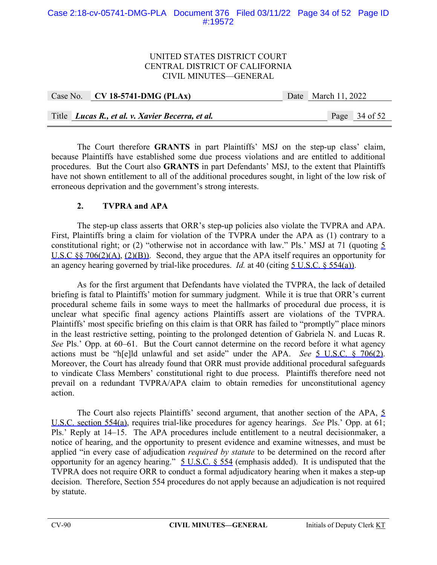# Case 2:18-cv-05741-DMG-PLA Document 376 Filed 03/11/22 Page 34 of 52 Page ID #:19572

## UNITED STATES DISTRICT COURT CENTRAL DISTRICT OF CALIFORNIA CIVIL MINUTES—GENERAL

| Case No. CV 18-5741-DMG (PLAx)                   | Date March 11, 2022 |               |
|--------------------------------------------------|---------------------|---------------|
|                                                  |                     |               |
| Title Lucas R., et al. v. Xavier Becerra, et al. |                     | Page 34 of 52 |

The Court therefore **GRANTS** in part Plaintiffs' MSJ on the step-up class' claim, because Plaintiffs have established some due process violations and are entitled to additional procedures. But the Court also **GRANTS** in part Defendants' MSJ, to the extent that Plaintiffs have not shown entitlement to all of the additional procedures sought, in light of the low risk of erroneous deprivation and the government's strong interests.

# **2. TVPRA and APA**

The step-up class asserts that ORR's step-up policies also violate the TVPRA and APA. First, Plaintiffs bring a claim for violation of the TVPRA under the APA as (1) contrary to a constitutional right; or (2) "otherwise not in accordance with law." Pls.' MSJ at 71 (quoting 5 U.S.C §§ 706(2)(A), (2)(B)). Second, they argue that the APA itself requires an opportunity for an agency hearing governed by trial-like procedures. *Id.* at 40 (citing 5 U.S.C. § 554(a)).

As for the first argument that Defendants have violated the TVPRA, the lack of detailed briefing is fatal to Plaintiffs' motion for summary judgment. While it is true that ORR's current procedural scheme fails in some ways to meet the hallmarks of procedural due process, it is unclear what specific final agency actions Plaintiffs assert are violations of the TVPRA. Plaintiffs' most specific briefing on this claim is that ORR has failed to "promptly" place minors in the least restrictive setting, pointing to the prolonged detention of Gabriela N. and Lucas R. *See* Pls.' Opp. at 60–61. But the Court cannot determine on the record before it what agency actions must be "h[e]ld unlawful and set aside" under the APA. *See* 5 U.S.C. § 706(2). Moreover, the Court has already found that ORR must provide additional procedural safeguards to vindicate Class Members' constitutional right to due process. Plaintiffs therefore need not prevail on a redundant TVPRA/APA claim to obtain remedies for unconstitutional agency action.

The Court also rejects Plaintiffs' second argument, that another section of the APA, 5 U.S.C. section 554(a), requires trial-like procedures for agency hearings. *See* Pls.' Opp. at 61; Pls.' Reply at 14–15. The APA procedures include entitlement to a neutral decisionmaker, a notice of hearing, and the opportunity to present evidence and examine witnesses, and must be applied "in every case of adjudication *required by statute* to be determined on the record after opportunity for an agency hearing."  $5$  U.S.C.  $\frac{6}{9}$  554 (emphasis added). It is undisputed that the TVPRA does not require ORR to conduct a formal adjudicatory hearing when it makes a step-up decision. Therefore, Section 554 procedures do not apply because an adjudication is not required by statute.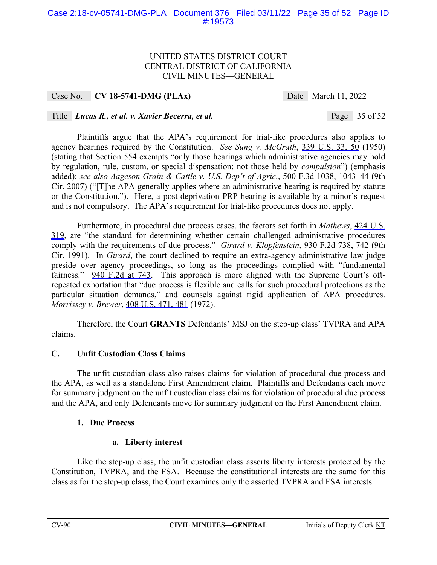# Case 2:18-cv-05741-DMG-PLA Document 376 Filed 03/11/22 Page 35 of 52 Page ID #:19573

#### UNITED STATES DISTRICT COURT CENTRAL DISTRICT OF CALIFORNIA CIVIL MINUTES—GENERAL

| Case No. CV 18-5741-DMG (PLAx) | Date March 11, 2022 |
|--------------------------------|---------------------|
|                                |                     |

# Title *Lucas R., et al. v. Xavier Becerra, et al.* Page 35 of 52

Plaintiffs argue that the APA's requirement for trial-like procedures also applies to agency hearings required by the Constitution. *See Sung v. McGrath*, 339 U.S. 33, 50 (1950) (stating that Section 554 exempts "only those hearings which administrative agencies may hold by regulation, rule, custom, or special dispensation; not those held by *compulsion*") (emphasis added); *see also Aageson Grain & Cattle v. U.S. Dep't of Agric.*, 500 F.3d 1038, 1043–44 (9th Cir. 2007) ("[T]he APA generally applies where an administrative hearing is required by statute or the Constitution."). Here, a post-deprivation PRP hearing is available by a minor's request and is not compulsory. The APA's requirement for trial-like procedures does not apply.

Furthermore, in procedural due process cases, the factors set forth in *Mathews*, 424 U.S. 319, are "the standard for determining whether certain challenged administrative procedures comply with the requirements of due process." *Girard v. Klopfenstein*, 930 F.2d 738, 742 (9th Cir. 1991). In *Girard*, the court declined to require an extra-agency administrative law judge preside over agency proceedings, so long as the proceedings complied with "fundamental fairness." 940 F.2d at 743. This approach is more aligned with the Supreme Court's oftrepeated exhortation that "due process is flexible and calls for such procedural protections as the particular situation demands," and counsels against rigid application of APA procedures. *Morrissey v. Brewer*, 408 U.S. 471, 481 (1972).

Therefore, the Court **GRANTS** Defendants' MSJ on the step-up class' TVPRA and APA claims.

# **C. Unfit Custodian Class Claims**

The unfit custodian class also raises claims for violation of procedural due process and the APA, as well as a standalone First Amendment claim. Plaintiffs and Defendants each move for summary judgment on the unfit custodian class claims for violation of procedural due process and the APA, and only Defendants move for summary judgment on the First Amendment claim.

#### **1. Due Process**

# **a. Liberty interest**

Like the step-up class, the unfit custodian class asserts liberty interests protected by the Constitution, TVPRA, and the FSA. Because the constitutional interests are the same for this class as for the step-up class, the Court examines only the asserted TVPRA and FSA interests.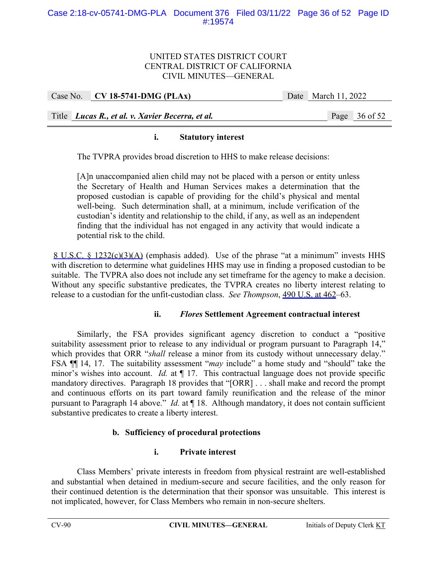# UNITED STATES DISTRICT COURT CENTRAL DISTRICT OF CALIFORNIA CIVIL MINUTES—GENERAL

| Case No. CV 18-5741-DMG (PLAx)                     | Date March 11, 2022 |
|----------------------------------------------------|---------------------|
|                                                    |                     |
| Title   Lucas R., et al. v. Xavier Becerra, et al. | Page 36 of 52       |

# **i. Statutory interest**

The TVPRA provides broad discretion to HHS to make release decisions:

[A]n unaccompanied alien child may not be placed with a person or entity unless the Secretary of Health and Human Services makes a determination that the proposed custodian is capable of providing for the child's physical and mental well-being. Such determination shall, at a minimum, include verification of the custodian's identity and relationship to the child, if any, as well as an independent finding that the individual has not engaged in any activity that would indicate a potential risk to the child.

 8 U.S.C. § 1232(c)(3)(A) (emphasis added). Use of the phrase "at a minimum" invests HHS with discretion to determine what guidelines HHS may use in finding a proposed custodian to be suitable. The TVPRA also does not include any set timeframe for the agency to make a decision. Without any specific substantive predicates, the TVPRA creates no liberty interest relating to release to a custodian for the unfit-custodian class. *See Thompson*, 490 U.S. at 462–63.

#### **ii.** *Flores* **Settlement Agreement contractual interest**

Similarly, the FSA provides significant agency discretion to conduct a "positive suitability assessment prior to release to any individual or program pursuant to Paragraph 14," which provides that ORR "*shall* release a minor from its custody without unnecessary delay." FSA ¶¶ 14, 17. The suitability assessment "*may* include" a home study and "should" take the minor's wishes into account. *Id.* at  $\P$  17. This contractual language does not provide specific mandatory directives. Paragraph 18 provides that "[ORR] . . . shall make and record the prompt and continuous efforts on its part toward family reunification and the release of the minor pursuant to Paragraph 14 above." *Id.* at ¶ 18. Although mandatory, it does not contain sufficient substantive predicates to create a liberty interest.

# **b. Sufficiency of procedural protections**

# **i. Private interest**

Class Members' private interests in freedom from physical restraint are well-established and substantial when detained in medium-secure and secure facilities, and the only reason for their continued detention is the determination that their sponsor was unsuitable. This interest is not implicated, however, for Class Members who remain in non-secure shelters.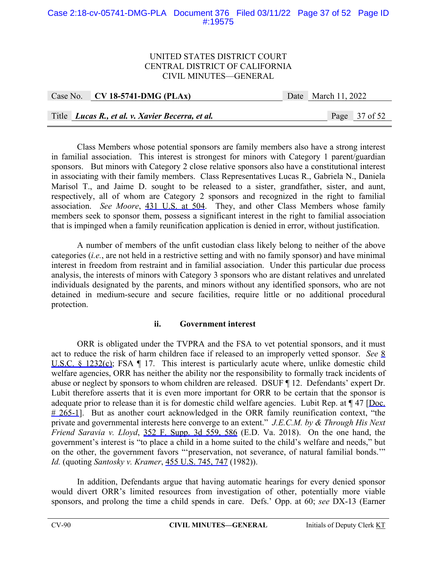# Case 2:18-cv-05741-DMG-PLA Document 376 Filed 03/11/22 Page 37 of 52 Page ID #:19575

## UNITED STATES DISTRICT COURT CENTRAL DISTRICT OF CALIFORNIA CIVIL MINUTES—GENERAL

|  | Case No. CV 18-5741-DMG (PLAx)                   | Date March 11, 2022 |  |                 |
|--|--------------------------------------------------|---------------------|--|-----------------|
|  |                                                  |                     |  |                 |
|  | Title Lucas R., et al. v. Xavier Becerra, et al. |                     |  | Page $37$ of 52 |

Class Members whose potential sponsors are family members also have a strong interest in familial association. This interest is strongest for minors with Category 1 parent/guardian sponsors. But minors with Category 2 close relative sponsors also have a constitutional interest in associating with their family members. Class Representatives Lucas R., Gabriela N., Daniela Marisol T., and Jaime D. sought to be released to a sister, grandfather, sister, and aunt, respectively, all of whom are Category 2 sponsors and recognized in the right to familial association. *See Moore*, 431 U.S. at 504. They, and other Class Members whose family members seek to sponsor them, possess a significant interest in the right to familial association that is impinged when a family reunification application is denied in error, without justification.

A number of members of the unfit custodian class likely belong to neither of the above categories (*i.e.*, are not held in a restrictive setting and with no family sponsor) and have minimal interest in freedom from restraint and in familial association. Under this particular due process analysis, the interests of minors with Category 3 sponsors who are distant relatives and unrelated individuals designated by the parents, and minors without any identified sponsors, who are not detained in medium-secure and secure facilities, require little or no additional procedural protection.

#### **ii. Government interest**

ORR is obligated under the TVPRA and the FSA to vet potential sponsors, and it must act to reduce the risk of harm children face if released to an improperly vetted sponsor. *See* 8 U.S.C. § 1232(c); FSA ¶ 17. This interest is particularly acute where, unlike domestic child welfare agencies, ORR has neither the ability nor the responsibility to formally track incidents of abuse or neglect by sponsors to whom children are released. DSUF ¶ 12. Defendants' expert Dr. Lubit therefore asserts that it is even more important for ORR to be certain that the sponsor is adequate prior to release than it is for domestic child welfare agencies. Lubit Rep. at  $\P$  47 [Doc.  $# 265-1$ . But as another court acknowledged in the ORR family reunification context, "the private and governmental interests here converge to an extent." *J.E.C.M. by & Through His Next Friend Saravia v. Lloyd*, 352 F. Supp. 3d 559, 586 (E.D. Va. 2018). On the one hand, the government's interest is "to place a child in a home suited to the child's welfare and needs," but on the other, the government favors "'preservation, not severance, of natural familial bonds.'" *Id.* (quoting *Santosky v. Kramer*, 455 U.S. 745, 747 (1982)).

In addition, Defendants argue that having automatic hearings for every denied sponsor would divert ORR's limited resources from investigation of other, potentially more viable sponsors, and prolong the time a child spends in care. Defs.' Opp. at 60; *see* DX-13 (Earner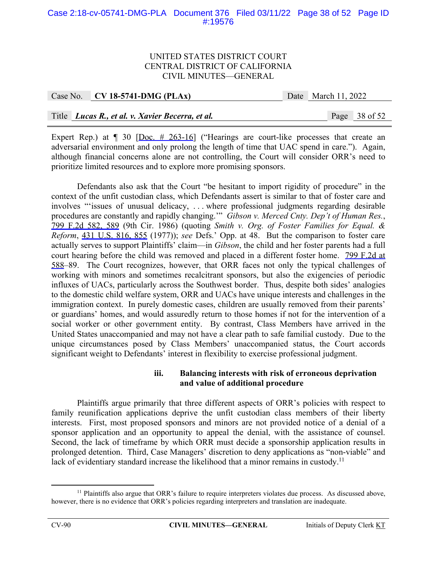## Case 2:18-cv-05741-DMG-PLA Document 376 Filed 03/11/22 Page 38 of 52 Page ID #:19576

#### UNITED STATES DISTRICT COURT CENTRAL DISTRICT OF CALIFORNIA CIVIL MINUTES—GENERAL

| Case No. CV 18-5741-DMG (PLAx)                   | Date March 11, 2022 |                 |
|--------------------------------------------------|---------------------|-----------------|
|                                                  |                     |                 |
| Title Lucas R., et al. v. Xavier Becerra, et al. |                     | Page $38$ of 52 |

Expert Rep.) at  $\parallel$  30 [Doc.  $\#$  263-16] ("Hearings are court-like processes that create an adversarial environment and only prolong the length of time that UAC spend in care."). Again, although financial concerns alone are not controlling, the Court will consider ORR's need to prioritize limited resources and to explore more promising sponsors.

Defendants also ask that the Court "be hesitant to import rigidity of procedure" in the context of the unfit custodian class, which Defendants assert is similar to that of foster care and involves "'issues of unusual delicacy, . . . where professional judgments regarding desirable procedures are constantly and rapidly changing.'" *Gibson v. Merced Cnty. Dep't of Human Res.*, 799 F.2d 582, 589 (9th Cir. 1986) (quoting *Smith v. Org. of Foster Families for Equal. & Reform*, 431 U.S. 816, 855 (1977)); *see* Defs.' Opp. at 48. But the comparison to foster care actually serves to support Plaintiffs' claim—in *Gibson*, the child and her foster parents had a full court hearing before the child was removed and placed in a different foster home. 799 F.2d at 588–89. The Court recognizes, however, that ORR faces not only the typical challenges of working with minors and sometimes recalcitrant sponsors, but also the exigencies of periodic influxes of UACs, particularly across the Southwest border. Thus, despite both sides' analogies to the domestic child welfare system, ORR and UACs have unique interests and challenges in the immigration context. In purely domestic cases, children are usually removed from their parents' or guardians' homes, and would assuredly return to those homes if not for the intervention of a social worker or other government entity. By contrast, Class Members have arrived in the United States unaccompanied and may not have a clear path to safe familial custody. Due to the unique circumstances posed by Class Members' unaccompanied status, the Court accords significant weight to Defendants' interest in flexibility to exercise professional judgment.

#### **iii. Balancing interests with risk of erroneous deprivation and value of additional procedure**

Plaintiffs argue primarily that three different aspects of ORR's policies with respect to family reunification applications deprive the unfit custodian class members of their liberty interests. First, most proposed sponsors and minors are not provided notice of a denial of a sponsor application and an opportunity to appeal the denial, with the assistance of counsel. Second, the lack of timeframe by which ORR must decide a sponsorship application results in prolonged detention. Third, Case Managers' discretion to deny applications as "non-viable" and lack of evidentiary standard increase the likelihood that a minor remains in custody.<sup>11</sup>

 $11$  Plaintiffs also argue that ORR's failure to require interpreters violates due process. As discussed above, however, there is no evidence that ORR's policies regarding interpreters and translation are inadequate.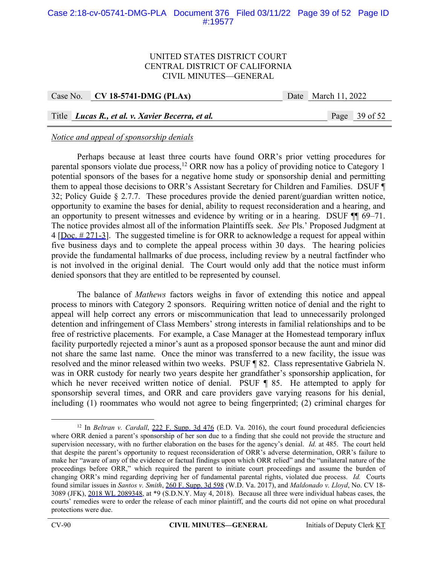# Case 2:18-cv-05741-DMG-PLA Document 376 Filed 03/11/22 Page 39 of 52 Page ID #:19577

## UNITED STATES DISTRICT COURT CENTRAL DISTRICT OF CALIFORNIA CIVIL MINUTES—GENERAL

Case No. **CV 18-5741-DMG (PLAx)** Date March 11, 2022

Title *Lucas R., et al. v. Xavier Becerra, et al.* Page 39 of 52

# *Notice and appeal of sponsorship denials*

Perhaps because at least three courts have found ORR's prior vetting procedures for parental sponsors violate due process,  $12$  ORR now has a policy of providing notice to Category 1 potential sponsors of the bases for a negative home study or sponsorship denial and permitting them to appeal those decisions to ORR's Assistant Secretary for Children and Families. DSUF ¶ 32; Policy Guide § 2.7.7. These procedures provide the denied parent/guardian written notice, opportunity to examine the bases for denial, ability to request reconsideration and a hearing, and an opportunity to present witnesses and evidence by writing or in a hearing. DSUF ¶¶ 69–71. The notice provides almost all of the information Plaintiffs seek. *See* Pls.' Proposed Judgment at  $4$  [Doc.  $\#$  271-3]. The suggested timeline is for ORR to acknowledge a request for appeal within five business days and to complete the appeal process within 30 days. The hearing policies provide the fundamental hallmarks of due process, including review by a neutral factfinder who is not involved in the original denial. The Court would only add that the notice must inform denied sponsors that they are entitled to be represented by counsel.

The balance of *Mathews* factors weighs in favor of extending this notice and appeal process to minors with Category 2 sponsors. Requiring written notice of denial and the right to appeal will help correct any errors or miscommunication that lead to unnecessarily prolonged detention and infringement of Class Members' strong interests in familial relationships and to be free of restrictive placements. For example, a Case Manager at the Homestead temporary influx facility purportedly rejected a minor's aunt as a proposed sponsor because the aunt and minor did not share the same last name. Once the minor was transferred to a new facility, the issue was resolved and the minor released within two weeks. PSUF ¶ 82. Class representative Gabriela N. was in ORR custody for nearly two years despite her grandfather's sponsorship application, for which he never received written notice of denial. PSUF ¶ 85. He attempted to apply for sponsorship several times, and ORR and care providers gave varying reasons for his denial, including (1) roommates who would not agree to being fingerprinted; (2) criminal charges for

<sup>&</sup>lt;sup>12</sup> In *Beltran v. Cardall*, 222 F. Supp. 3d 476 (E.D. Va. 2016), the court found procedural deficiencies where ORR denied a parent's sponsorship of her son due to a finding that she could not provide the structure and supervision necessary, with no further elaboration on the bases for the agency's denial. *Id.* at 485. The court held that despite the parent's opportunity to request reconsideration of ORR's adverse determination, ORR's failure to make her "aware of any of the evidence or factual findings upon which ORR relied" and the "unilateral nature of the proceedings before ORR," which required the parent to initiate court proceedings and assume the burden of changing ORR's mind regarding depriving her of fundamental parental rights, violated due process. *Id.* Courts found similar issues in *Santos v. Smith*, 260 F. Supp. 3d 598 (W.D. Va. 2017), and *Maldonado v. Lloyd*, No. CV 18- 3089 (JFK), 2018 WL 2089348, at \*9 (S.D.N.Y. May 4, 2018). Because all three were individual habeas cases, the courts' remedies were to order the release of each minor plaintiff, and the courts did not opine on what procedural protections were due.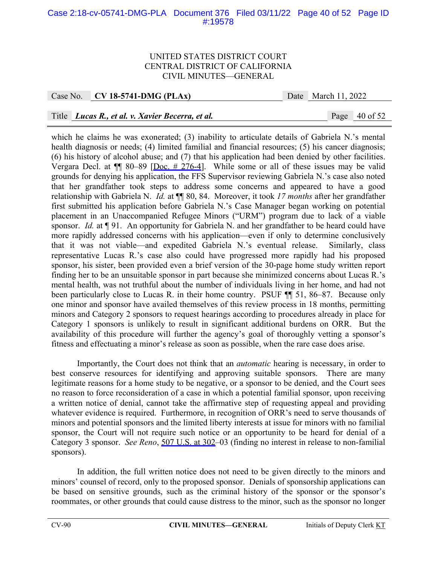# Case 2:18-cv-05741-DMG-PLA Document 376 Filed 03/11/22 Page 40 of 52 Page ID #:19578

#### UNITED STATES DISTRICT COURT CENTRAL DISTRICT OF CALIFORNIA CIVIL MINUTES—GENERAL

Case No. **CV 18-5741-DMG (PLAx)** Date March 11, 2022

# Title *Lucas R., et al. v. Xavier Becerra, et al.* Page 40 of 52

which he claims he was exonerated; (3) inability to articulate details of Gabriela N.'s mental health diagnosis or needs; (4) limited familial and financial resources; (5) his cancer diagnosis; (6) his history of alcohol abuse; and (7) that his application had been denied by other facilities. Vergara Decl. at  $\P$  80–89 [Doc. # 276–4]. While some or all of these issues may be valid grounds for denying his application, the FFS Supervisor reviewing Gabriela N.'s case also noted that her grandfather took steps to address some concerns and appeared to have a good relationship with Gabriela N. *Id.* at ¶¶ 80, 84. Moreover, it took *17 months* after her grandfather first submitted his application before Gabriela N.'s Case Manager began working on potential placement in an Unaccompanied Refugee Minors ("URM") program due to lack of a viable sponsor. *Id.* at **[91.** An opportunity for Gabriela N. and her grandfather to be heard could have more rapidly addressed concerns with his application—even if only to determine conclusively that it was not viable—and expedited Gabriela N.'s eventual release. Similarly, class representative Lucas R.'s case also could have progressed more rapidly had his proposed sponsor, his sister, been provided even a brief version of the 30-page home study written report finding her to be an unsuitable sponsor in part because she minimized concerns about Lucas R.'s mental health, was not truthful about the number of individuals living in her home, and had not been particularly close to Lucas R. in their home country. PSUF  $\P$  51, 86–87. Because only one minor and sponsor have availed themselves of this review process in 18 months, permitting minors and Category 2 sponsors to request hearings according to procedures already in place for Category 1 sponsors is unlikely to result in significant additional burdens on ORR. But the availability of this procedure will further the agency's goal of thoroughly vetting a sponsor's fitness and effectuating a minor's release as soon as possible, when the rare case does arise.

Importantly, the Court does not think that an *automatic* hearing is necessary, in order to best conserve resources for identifying and approving suitable sponsors. There are many legitimate reasons for a home study to be negative, or a sponsor to be denied, and the Court sees no reason to force reconsideration of a case in which a potential familial sponsor, upon receiving a written notice of denial, cannot take the affirmative step of requesting appeal and providing whatever evidence is required. Furthermore, in recognition of ORR's need to serve thousands of minors and potential sponsors and the limited liberty interests at issue for minors with no familial sponsor, the Court will not require such notice or an opportunity to be heard for denial of a Category 3 sponsor. *See Reno*, 507 U.S. at 302–03 (finding no interest in release to non-familial sponsors).

In addition, the full written notice does not need to be given directly to the minors and minors' counsel of record, only to the proposed sponsor. Denials of sponsorship applications can be based on sensitive grounds, such as the criminal history of the sponsor or the sponsor's roommates, or other grounds that could cause distress to the minor, such as the sponsor no longer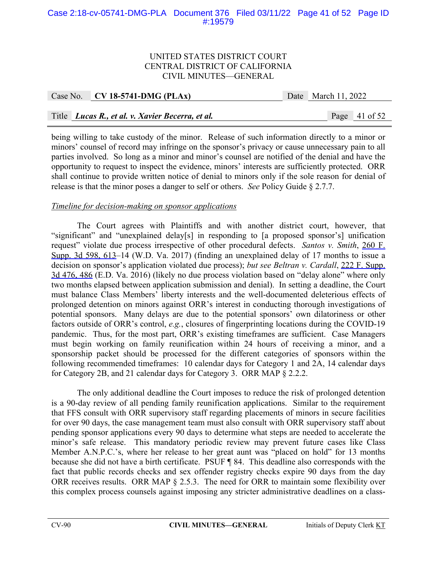# Case 2:18-cv-05741-DMG-PLA Document 376 Filed 03/11/22 Page 41 of 52 Page ID #:19579

#### UNITED STATES DISTRICT COURT CENTRAL DISTRICT OF CALIFORNIA CIVIL MINUTES—GENERAL

| Case No. CV 18-5741-DMG (PLAx)                   | Date March 11, 2022 |                 |
|--------------------------------------------------|---------------------|-----------------|
|                                                  |                     |                 |
| Title Lucas R., et al. v. Xavier Becerra, et al. |                     | Page $41$ of 52 |

being willing to take custody of the minor. Release of such information directly to a minor or minors' counsel of record may infringe on the sponsor's privacy or cause unnecessary pain to all parties involved. So long as a minor and minor's counsel are notified of the denial and have the opportunity to request to inspect the evidence, minors' interests are sufficiently protected. ORR shall continue to provide written notice of denial to minors only if the sole reason for denial of release is that the minor poses a danger to self or others. *See* Policy Guide § 2.7.7.

#### *Timeline for decision-making on sponsor applications*

The Court agrees with Plaintiffs and with another district court, however, that "significant" and "unexplained delay[s] in responding to [a proposed sponsor's] unification request" violate due process irrespective of other procedural defects. *Santos v. Smith*, 260 F. Supp. 3d 598, 613–14 (W.D. Va. 2017) (finding an unexplained delay of 17 months to issue a decision on sponsor's application violated due process); *but see Beltran v. Cardall*, 222 F. Supp. 3d 476, 486 (E.D. Va. 2016) (likely no due process violation based on "delay alone" where only two months elapsed between application submission and denial). In setting a deadline, the Court must balance Class Members' liberty interests and the well-documented deleterious effects of prolonged detention on minors against ORR's interest in conducting thorough investigations of potential sponsors. Many delays are due to the potential sponsors' own dilatoriness or other factors outside of ORR's control, *e.g.*, closures of fingerprinting locations during the COVID-19 pandemic. Thus, for the most part, ORR's existing timeframes are sufficient. Case Managers must begin working on family reunification within 24 hours of receiving a minor, and a sponsorship packet should be processed for the different categories of sponsors within the following recommended timeframes: 10 calendar days for Category 1 and 2A, 14 calendar days for Category 2B, and 21 calendar days for Category 3. ORR MAP § 2.2.2.

The only additional deadline the Court imposes to reduce the risk of prolonged detention is a 90-day review of all pending family reunification applications. Similar to the requirement that FFS consult with ORR supervisory staff regarding placements of minors in secure facilities for over 90 days, the case management team must also consult with ORR supervisory staff about pending sponsor applications every 90 days to determine what steps are needed to accelerate the minor's safe release. This mandatory periodic review may prevent future cases like Class Member A.N.P.C.'s, where her release to her great aunt was "placed on hold" for 13 months because she did not have a birth certificate. PSUF ¶ 84. This deadline also corresponds with the fact that public records checks and sex offender registry checks expire 90 days from the day ORR receives results. ORR MAP § 2.5.3. The need for ORR to maintain some flexibility over this complex process counsels against imposing any stricter administrative deadlines on a class-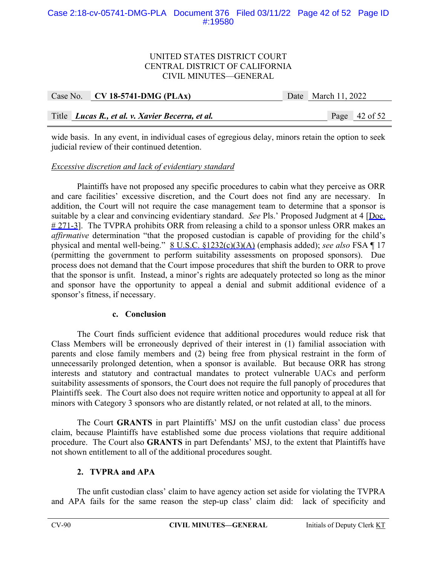# Case 2:18-cv-05741-DMG-PLA Document 376 Filed 03/11/22 Page 42 of 52 Page ID #:19580

# UNITED STATES DISTRICT COURT CENTRAL DISTRICT OF CALIFORNIA CIVIL MINUTES—GENERAL

| Case No. CV 18-5741-DMG (PLAx)                   | Date March 11, 2022 |                 |
|--------------------------------------------------|---------------------|-----------------|
|                                                  |                     |                 |
| Title Lucas R., et al. v. Xavier Becerra, et al. |                     | Page $42$ of 52 |

wide basis. In any event, in individual cases of egregious delay, minors retain the option to seek judicial review of their continued detention.

#### *Excessive discretion and lack of evidentiary standard*

 Plaintiffs have not proposed any specific procedures to cabin what they perceive as ORR and care facilities' excessive discretion, and the Court does not find any are necessary. In addition, the Court will not require the case management team to determine that a sponsor is suitable by a clear and convincing evidentiary standard. *See Pls.*' Proposed Judgment at 4 [Doc.  $\# 271-3$ . The TVPRA prohibits ORR from releasing a child to a sponsor unless ORR makes an *affirmative* determination "that the proposed custodian is capable of providing for the child's physical and mental well-being." 8 U.S.C. §1232(c)(3)(A) (emphasis added); *see also* FSA ¶ 17 (permitting the government to perform suitability assessments on proposed sponsors). Due process does not demand that the Court impose procedures that shift the burden to ORR to prove that the sponsor is unfit. Instead, a minor's rights are adequately protected so long as the minor and sponsor have the opportunity to appeal a denial and submit additional evidence of a sponsor's fitness, if necessary.

#### **c. Conclusion**

The Court finds sufficient evidence that additional procedures would reduce risk that Class Members will be erroneously deprived of their interest in (1) familial association with parents and close family members and (2) being free from physical restraint in the form of unnecessarily prolonged detention, when a sponsor is available. But because ORR has strong interests and statutory and contractual mandates to protect vulnerable UACs and perform suitability assessments of sponsors, the Court does not require the full panoply of procedures that Plaintiffs seek. The Court also does not require written notice and opportunity to appeal at all for minors with Category 3 sponsors who are distantly related, or not related at all, to the minors.

The Court **GRANTS** in part Plaintiffs' MSJ on the unfit custodian class' due process claim, because Plaintiffs have established some due process violations that require additional procedure. The Court also **GRANTS** in part Defendants' MSJ, to the extent that Plaintiffs have not shown entitlement to all of the additional procedures sought.

#### **2. TVPRA and APA**

The unfit custodian class' claim to have agency action set aside for violating the TVPRA and APA fails for the same reason the step-up class' claim did: lack of specificity and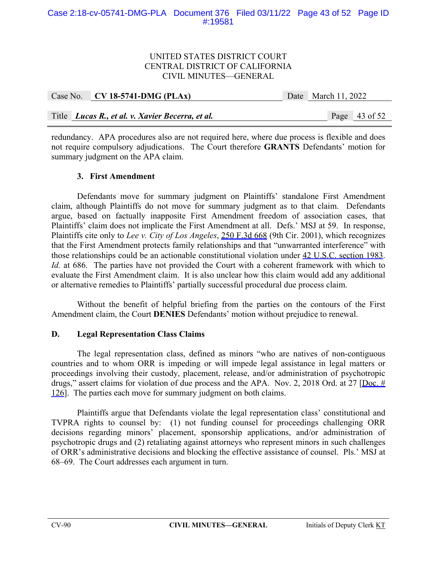# UNITED STATES DISTRICT COURT CENTRAL DISTRICT OF CALIFORNIA CIVIL MINUTES—GENERAL

| Case No. $CV$ 18-5741-DMG (PLAx)                 | Date March 11, 2022 |                 |  |
|--------------------------------------------------|---------------------|-----------------|--|
|                                                  |                     |                 |  |
| Title Lucas R., et al. v. Xavier Becerra, et al. |                     | Page $43$ of 52 |  |

redundancy. APA procedures also are not required here, where due process is flexible and does not require compulsory adjudications. The Court therefore **GRANTS** Defendants' motion for summary judgment on the APA claim.

# **3. First Amendment**

Defendants move for summary judgment on Plaintiffs' standalone First Amendment claim, although Plaintiffs do not move for summary judgment as to that claim. Defendants argue, based on factually inapposite First Amendment freedom of association cases, that Plaintiffs' claim does not implicate the First Amendment at all. Defs.' MSJ at 59. In response, Plaintiffs cite only to *Lee v. City of Los Angeles*, 250 F.3d 668 (9th Cir. 2001), which recognizes that the First Amendment protects family relationships and that "unwarranted interference" with those relationships could be an actionable constitutional violation under 42 U.S.C. section 1983. *Id.* at 686. The parties have not provided the Court with a coherent framework with which to evaluate the First Amendment claim. It is also unclear how this claim would add any additional or alternative remedies to Plaintiffs' partially successful procedural due process claim.

Without the benefit of helpful briefing from the parties on the contours of the First Amendment claim, the Court **DENIES** Defendants' motion without prejudice to renewal.

# **D. Legal Representation Class Claims**

The legal representation class, defined as minors "who are natives of non-contiguous countries and to whom ORR is impeding or will impede legal assistance in legal matters or proceedings involving their custody, placement, release, and/or administration of psychotropic drugs," assert claims for violation of due process and the APA. Nov. 2, 2018 Ord. at 27 [Doc.  $\#$ 126]. The parties each move for summary judgment on both claims.

Plaintiffs argue that Defendants violate the legal representation class' constitutional and TVPRA rights to counsel by: (1) not funding counsel for proceedings challenging ORR decisions regarding minors' placement, sponsorship applications, and/or administration of psychotropic drugs and (2) retaliating against attorneys who represent minors in such challenges of ORR's administrative decisions and blocking the effective assistance of counsel. Pls.' MSJ at 68–69. The Court addresses each argument in turn.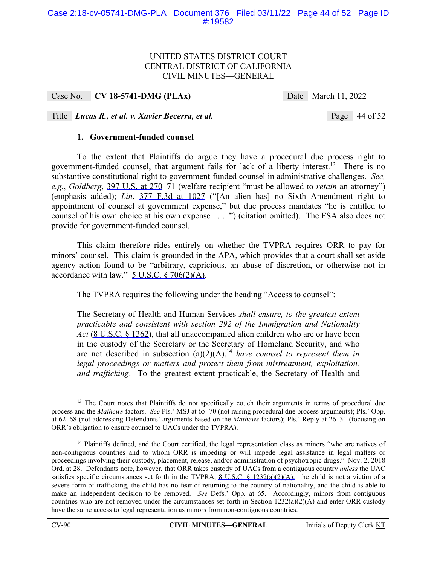## UNITED STATES DISTRICT COURT CENTRAL DISTRICT OF CALIFORNIA CIVIL MINUTES—GENERAL

Case No. **CV 18-5741-DMG (PLAx)** Date March 11, 2022

Title *Lucas R., et al. v. Xavier Becerra, et al.* Page 44 of 52

# **1. Government-funded counsel**

To the extent that Plaintiffs do argue they have a procedural due process right to government-funded counsel, that argument fails for lack of a liberty interest.<sup>13</sup> There is no substantive constitutional right to government-funded counsel in administrative challenges. *See, e.g.*, *Goldberg*, 397 U.S. at 270–71 (welfare recipient "must be allowed to *retain* an attorney") (emphasis added); *Lin*, 377 F.3d at 1027 ("[An alien has] no Sixth Amendment right to appointment of counsel at government expense," but due process mandates "he is entitled to counsel of his own choice at his own expense . . . .") (citation omitted). The FSA also does not provide for government-funded counsel.

This claim therefore rides entirely on whether the TVPRA requires ORR to pay for minors' counsel. This claim is grounded in the APA, which provides that a court shall set aside agency action found to be "arbitrary, capricious, an abuse of discretion, or otherwise not in accordance with law."  $5$  U.S.C.  $$706(2)(A)$ .

The TVPRA requires the following under the heading "Access to counsel":

The Secretary of Health and Human Services *shall ensure, to the greatest extent practicable and consistent with section 292 of the Immigration and Nationality Act* (8 U.S.C. § 1362), that all unaccompanied alien children who are or have been in the custody of the Secretary or the Secretary of Homeland Security, and who are not described in subsection  $(a)(2)(A)$ ,<sup>14</sup> *have counsel to represent them in legal proceedings or matters and protect them from mistreatment, exploitation, and trafficking*. To the greatest extent practicable, the Secretary of Health and

<sup>&</sup>lt;sup>13</sup> The Court notes that Plaintiffs do not specifically couch their arguments in terms of procedural due process and the *Mathews* factors. *See* Pls.' MSJ at 65–70 (not raising procedural due process arguments); Pls.' Opp. at 62–68 (not addressing Defendants' arguments based on the *Mathews* factors); Pls.' Reply at 26–31 (focusing on ORR's obligation to ensure counsel to UACs under the TVPRA).

<sup>&</sup>lt;sup>14</sup> Plaintiffs defined, and the Court certified, the legal representation class as minors "who are natives of non-contiguous countries and to whom ORR is impeding or will impede legal assistance in legal matters or proceedings involving their custody, placement, release, and/or administration of psychotropic drugs." Nov. 2, 2018 Ord. at 28. Defendants note, however, that ORR takes custody of UACs from a contiguous country *unless* the UAC satisfies specific circumstances set forth in the TVPRA,  $8 \text{ U.S.C. } 8 \frac{1232(a)(2)(A)}{2}$ ; the child is not a victim of a severe form of trafficking, the child has no fear of returning to the country of nationality, and the child is able to make an independent decision to be removed. *See* Defs.' Opp. at 65. Accordingly, minors from contiguous countries who are not removed under the circumstances set forth in Section  $1232(a)(2)(A)$  and enter ORR custody have the same access to legal representation as minors from non-contiguous countries.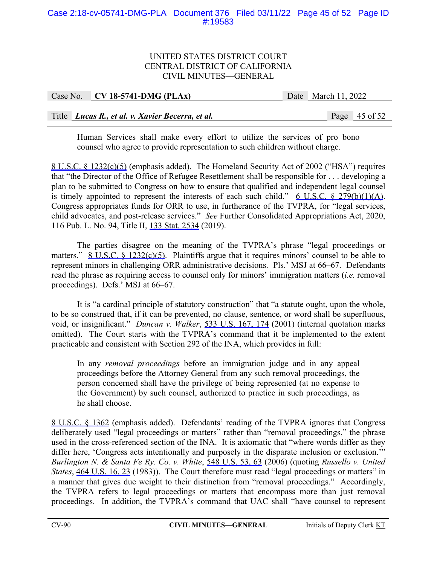# Case 2:18-cv-05741-DMG-PLA Document 376 Filed 03/11/22 Page 45 of 52 Page ID #:19583

## UNITED STATES DISTRICT COURT CENTRAL DISTRICT OF CALIFORNIA CIVIL MINUTES—GENERAL

| Case No. $CV$ 18-5741-DMG (PLAx)                 | Date March 11, 2022 |                 |
|--------------------------------------------------|---------------------|-----------------|
|                                                  |                     |                 |
| Title Lucas R., et al. v. Xavier Becerra, et al. |                     | Page $45$ of 52 |

Human Services shall make every effort to utilize the services of pro bono counsel who agree to provide representation to such children without charge.

8 U.S.C. § 1232(c)(5) (emphasis added). The Homeland Security Act of 2002 ("HSA") requires that "the Director of the Office of Refugee Resettlement shall be responsible for . . . developing a plan to be submitted to Congress on how to ensure that qualified and independent legal counsel is timely appointed to represent the interests of each such child."  $6$  U.S.C.  $8$  279(b)(1)(A). Congress appropriates funds for ORR to use, in furtherance of the TVPRA, for "legal services, child advocates, and post-release services." *See* Further Consolidated Appropriations Act, 2020, 116 Pub. L. No. 94, Title II, 133 Stat. 2534 (2019).

The parties disagree on the meaning of the TVPRA's phrase "legal proceedings or matters."  $8 \text{ U.S.C. } 8 \frac{1232(c)(5)}{2}$ . Plaintiffs argue that it requires minors' counsel to be able to represent minors in challenging ORR administrative decisions. Pls.' MSJ at 66–67. Defendants read the phrase as requiring access to counsel only for minors' immigration matters (*i.e.* removal proceedings). Defs.' MSJ at 66–67.

It is "a cardinal principle of statutory construction" that "a statute ought, upon the whole, to be so construed that, if it can be prevented, no clause, sentence, or word shall be superfluous, void, or insignificant." *Duncan v. Walker*, 533 U.S. 167, 174 (2001) (internal quotation marks omitted). The Court starts with the TVPRA's command that it be implemented to the extent practicable and consistent with Section 292 of the INA, which provides in full:

In any *removal proceedings* before an immigration judge and in any appeal proceedings before the Attorney General from any such removal proceedings, the person concerned shall have the privilege of being represented (at no expense to the Government) by such counsel, authorized to practice in such proceedings, as he shall choose.

8 U.S.C. § 1362 (emphasis added). Defendants' reading of the TVPRA ignores that Congress deliberately used "legal proceedings or matters" rather than "removal proceedings," the phrase used in the cross-referenced section of the INA. It is axiomatic that "where words differ as they differ here, 'Congress acts intentionally and purposely in the disparate inclusion or exclusion.'" *Burlington N. & Santa Fe Ry. Co. v. White*, 548 U.S. 53, 63 (2006) (quoting *Russello v. United States*, 464 U.S. 16, 23 (1983)). The Court therefore must read "legal proceedings or matters" in a manner that gives due weight to their distinction from "removal proceedings." Accordingly, the TVPRA refers to legal proceedings or matters that encompass more than just removal proceedings. In addition, the TVPRA's command that UAC shall "have counsel to represent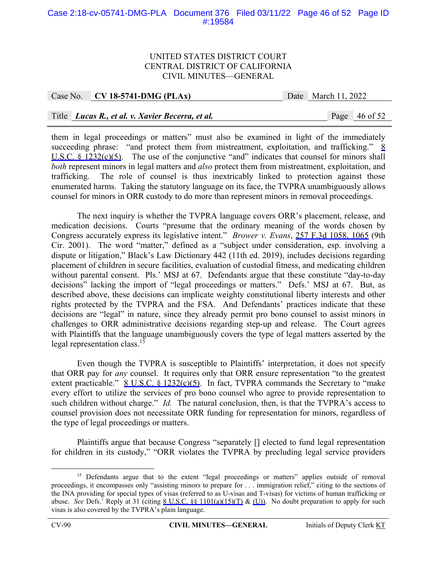# Case 2:18-cv-05741-DMG-PLA Document 376 Filed 03/11/22 Page 46 of 52 Page ID #:19584

#### UNITED STATES DISTRICT COURT CENTRAL DISTRICT OF CALIFORNIA CIVIL MINUTES—GENERAL

Case No. **CV 18-5741-DMG (PLAx)** Date March 11, 2022

# Title *Lucas R., et al. v. Xavier Becerra, et al.* Page 46 of 52

them in legal proceedings or matters" must also be examined in light of the immediately succeeding phrase: "and protect them from mistreatment, exploitation, and trafficking."  $8$ U.S.C.  $\frac{\sqrt{0.5}}{\sqrt{1.5}}$ . The use of the conjunctive "and" indicates that counsel for minors shall *both* represent minors in legal matters and *also* protect them from mistreatment, exploitation, and trafficking. The role of counsel is thus inextricably linked to protection against those enumerated harms. Taking the statutory language on its face, the TVPRA unambiguously allows counsel for minors in ORR custody to do more than represent minors in removal proceedings.

The next inquiry is whether the TVPRA language covers ORR's placement, release, and medication decisions. Courts "presume that the ordinary meaning of the words chosen by Congress accurately express its legislative intent." *Brower v. Evans*, 257 F.3d 1058, 1065 (9th Cir. 2001). The word "matter," defined as a "subject under consideration, esp. involving a dispute or litigation," Black's Law Dictionary 442 (11th ed. 2019), includes decisions regarding placement of children in secure facilities, evaluation of custodial fitness, and medicating children without parental consent. Pls.' MSJ at 67. Defendants argue that these constitute "day-to-day" decisions" lacking the import of "legal proceedings or matters." Defs.' MSJ at 67. But, as described above, these decisions can implicate weighty constitutional liberty interests and other rights protected by the TVPRA and the FSA. And Defendants' practices indicate that these decisions are "legal" in nature, since they already permit pro bono counsel to assist minors in challenges to ORR administrative decisions regarding step-up and release. The Court agrees with Plaintiffs that the language unambiguously covers the type of legal matters asserted by the legal representation class.<sup>15</sup>

Even though the TVPRA is susceptible to Plaintiffs' interpretation, it does not specify that ORR pay for *any* counsel. It requires only that ORR ensure representation "to the greatest extent practicable."  $8 \text{ U.S.C. } 8 \text{ 1232(c)(5)}$ . In fact, TVPRA commands the Secretary to "make every effort to utilize the services of pro bono counsel who agree to provide representation to such children without charge." *Id.* The natural conclusion, then, is that the TVPRA's access to counsel provision does not necessitate ORR funding for representation for minors, regardless of the type of legal proceedings or matters.

Plaintiffs argue that because Congress "separately [] elected to fund legal representation for children in its custody," "ORR violates the TVPRA by precluding legal service providers

<sup>&</sup>lt;sup>15</sup> Defendants argue that to the extent "legal proceedings or matters" applies outside of removal proceedings, it encompasses only "assisting minors to prepare for . . . immigration relief," citing to the sections of the INA providing for special types of visas (referred to as U-visas and T-visas) for victims of human trafficking or abuse. *See* Defs.' Reply at 31 (citing <u>8 U.S.C. §§ 1101(a)(15)(T)</u> & (U)). No doubt preparation to apply for such visas is also covered by the TVPRA's plain language.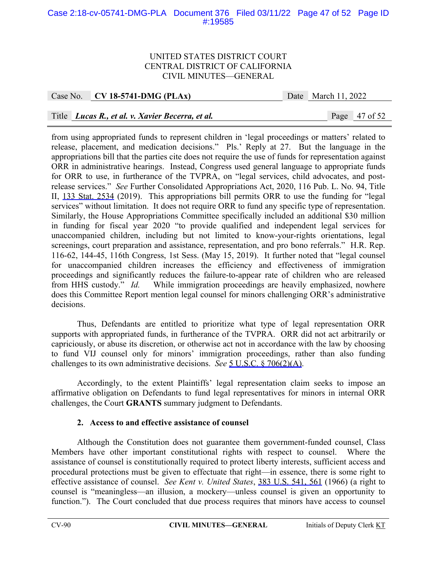# Case 2:18-cv-05741-DMG-PLA Document 376 Filed 03/11/22 Page 47 of 52 Page ID #:19585

#### UNITED STATES DISTRICT COURT CENTRAL DISTRICT OF CALIFORNIA CIVIL MINUTES—GENERAL

## Case No. **CV 18-5741-DMG (PLAx)** Date March 11, 2022

# Title *Lucas R., et al. v. Xavier Becerra, et al.* Page 47 of 52

from using appropriated funds to represent children in 'legal proceedings or matters' related to release, placement, and medication decisions." Pls.' Reply at 27. But the language in the appropriations bill that the parties cite does not require the use of funds for representation against ORR in administrative hearings. Instead, Congress used general language to appropriate funds for ORR to use, in furtherance of the TVPRA, on "legal services, child advocates, and postrelease services." *See* Further Consolidated Appropriations Act, 2020, 116 Pub. L. No. 94, Title II, 133 Stat. 2534 (2019). This appropriations bill permits ORR to use the funding for "legal services" without limitation. It does not require ORR to fund any specific type of representation. Similarly, the House Appropriations Committee specifically included an additional \$30 million in funding for fiscal year 2020 "to provide qualified and independent legal services for unaccompanied children, including but not limited to know-your-rights orientations, legal screenings, court preparation and assistance, representation, and pro bono referrals." H.R. Rep. 116-62, 144-45, 116th Congress, 1st Sess. (May 15, 2019). It further noted that "legal counsel for unaccompanied children increases the efficiency and effectiveness of immigration proceedings and significantly reduces the failure-to-appear rate of children who are released from HHS custody." *Id.* While immigration proceedings are heavily emphasized, nowhere does this Committee Report mention legal counsel for minors challenging ORR's administrative decisions.

Thus, Defendants are entitled to prioritize what type of legal representation ORR supports with appropriated funds, in furtherance of the TVPRA. ORR did not act arbitrarily or capriciously, or abuse its discretion, or otherwise act not in accordance with the law by choosing to fund VIJ counsel only for minors' immigration proceedings, rather than also funding challenges to its own administrative decisions. *See* 5 U.S.C. § 706(2)(A).

Accordingly, to the extent Plaintiffs' legal representation claim seeks to impose an affirmative obligation on Defendants to fund legal representatives for minors in internal ORR challenges, the Court **GRANTS** summary judgment to Defendants.

#### **2. Access to and effective assistance of counsel**

Although the Constitution does not guarantee them government-funded counsel, Class Members have other important constitutional rights with respect to counsel. Where the assistance of counsel is constitutionally required to protect liberty interests, sufficient access and procedural protections must be given to effectuate that right—in essence, there is some right to effective assistance of counsel. *See Kent v. United States*, 383 U.S. 541, 561 (1966) (a right to counsel is "meaningless—an illusion, a mockery—unless counsel is given an opportunity to function."). The Court concluded that due process requires that minors have access to counsel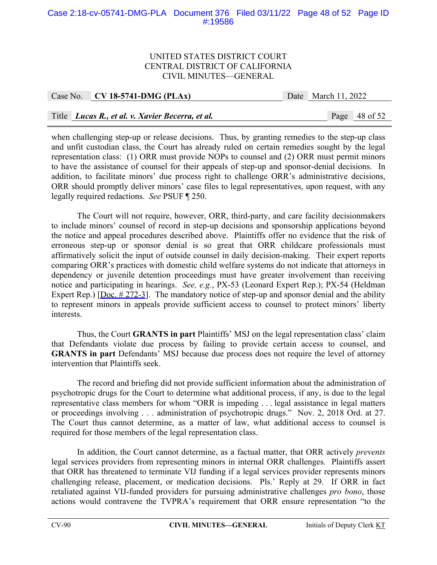# Case 2:18-cv-05741-DMG-PLA Document 376 Filed 03/11/22 Page 48 of 52 Page ID #:19586

#### UNITED STATES DISTRICT COURT CENTRAL DISTRICT OF CALIFORNIA CIVIL MINUTES—GENERAL

| Case No. $CV18-5741-DMG (PLAx)$ |                                                  | Date March 11, 2022 |                 |  |
|---------------------------------|--------------------------------------------------|---------------------|-----------------|--|
|                                 |                                                  |                     |                 |  |
|                                 | Title Lucas R., et al. v. Xavier Becerra, et al. |                     | Page $48$ of 52 |  |

when challenging step-up or release decisions. Thus, by granting remedies to the step-up class and unfit custodian class, the Court has already ruled on certain remedies sought by the legal representation class: (1) ORR must provide NOPs to counsel and (2) ORR must permit minors to have the assistance of counsel for their appeals of step-up and sponsor-denial decisions. In addition, to facilitate minors' due process right to challenge ORR's administrative decisions, ORR should promptly deliver minors' case files to legal representatives, upon request, with any legally required redactions. *See* PSUF ¶ 250.

The Court will not require, however, ORR, third-party, and care facility decisionmakers to include minors' counsel of record in step-up decisions and sponsorship applications beyond the notice and appeal procedures described above. Plaintiffs offer no evidence that the risk of erroneous step-up or sponsor denial is so great that ORR childcare professionals must affirmatively solicit the input of outside counsel in daily decision-making. Their expert reports comparing ORR's practices with domestic child welfare systems do not indicate that attorneys in dependency or juvenile detention proceedings must have greater involvement than receiving notice and participating in hearings. *See, e.g.*, PX-53 (Leonard Expert Rep.); PX-54 (Heldman Expert Rep.) [Doc.  $\# 272-3$ ]. The mandatory notice of step-up and sponsor denial and the ability to represent minors in appeals provide sufficient access to counsel to protect minors' liberty interests.

Thus, the Court **GRANTS in part** Plaintiffs' MSJ on the legal representation class' claim that Defendants violate due process by failing to provide certain access to counsel, and **GRANTS in part** Defendants' MSJ because due process does not require the level of attorney intervention that Plaintiffs seek.

The record and briefing did not provide sufficient information about the administration of psychotropic drugs for the Court to determine what additional process, if any, is due to the legal representative class members for whom "ORR is impeding . . . legal assistance in legal matters or proceedings involving . . . administration of psychotropic drugs." Nov. 2, 2018 Ord. at 27. The Court thus cannot determine, as a matter of law, what additional access to counsel is required for those members of the legal representation class.

In addition, the Court cannot determine, as a factual matter, that ORR actively *prevents*  legal services providers from representing minors in internal ORR challenges. Plaintiffs assert that ORR has threatened to terminate VIJ funding if a legal services provider represents minors challenging release, placement, or medication decisions. Pls.' Reply at 29. If ORR in fact retaliated against VIJ-funded providers for pursuing administrative challenges *pro bono*, those actions would contravene the TVPRA's requirement that ORR ensure representation "to the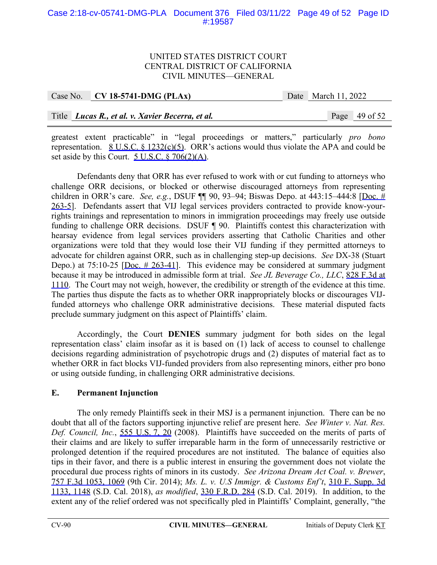# Case 2:18-cv-05741-DMG-PLA Document 376 Filed 03/11/22 Page 49 of 52 Page ID #:19587

## UNITED STATES DISTRICT COURT CENTRAL DISTRICT OF CALIFORNIA CIVIL MINUTES—GENERAL

| Case No. $\vert$ CV 18-5741-DMG (PLAx)           | Date March 11, 2022 |                 |
|--------------------------------------------------|---------------------|-----------------|
|                                                  |                     |                 |
| Title Lucas R., et al. v. Xavier Becerra, et al. |                     | Page $49$ of 52 |

greatest extent practicable" in "legal proceedings or matters," particularly *pro bono*  representation.  $8 \text{ U.S.C.} 8 \frac{1232(c)(5)}{2}$ . ORR's actions would thus violate the APA and could be set aside by this Court. 5 U.S.C. § 706(2)(A).

Defendants deny that ORR has ever refused to work with or cut funding to attorneys who challenge ORR decisions, or blocked or otherwise discouraged attorneys from representing children in ORR's care. *See, e.g.*, DSUF ¶¶ 90, 93–94; Biswas Depo. at 443:15–444:8 [Doc. # 263-5]. Defendants assert that VIJ legal services providers contracted to provide know-yourrights trainings and representation to minors in immigration proceedings may freely use outside funding to challenge ORR decisions. DSUF ¶ 90. Plaintiffs contest this characterization with hearsay evidence from legal services providers asserting that Catholic Charities and other organizations were told that they would lose their VIJ funding if they permitted attorneys to advocate for children against ORR, such as in challenging step-up decisions. *See* DX-38 (Stuart Depo.) at  $75:10-25$  [Doc.  $\#$  263-41]. This evidence may be considered at summary judgment because it may be introduced in admissible form at trial. *See JL Beverage Co., LLC*, 828 F.3d at 1110. The Court may not weigh, however, the credibility or strength of the evidence at this time. The parties thus dispute the facts as to whether ORR inappropriately blocks or discourages VIJfunded attorneys who challenge ORR administrative decisions. These material disputed facts preclude summary judgment on this aspect of Plaintiffs' claim.

 Accordingly, the Court **DENIES** summary judgment for both sides on the legal representation class' claim insofar as it is based on (1) lack of access to counsel to challenge decisions regarding administration of psychotropic drugs and (2) disputes of material fact as to whether ORR in fact blocks VIJ-funded providers from also representing minors, either pro bono or using outside funding, in challenging ORR administrative decisions.

# **E. Permanent Injunction**

The only remedy Plaintiffs seek in their MSJ is a permanent injunction. There can be no doubt that all of the factors supporting injunctive relief are present here. *See Winter v. Nat. Res. Def. Council, Inc.*, 555 U.S. 7, 20 (2008). Plaintiffs have succeeded on the merits of parts of their claims and are likely to suffer irreparable harm in the form of unnecessarily restrictive or prolonged detention if the required procedures are not instituted. The balance of equities also tips in their favor, and there is a public interest in ensuring the government does not violate the procedural due process rights of minors in its custody. *See Arizona Dream Act Coal. v. Brewer*, 757 F.3d 1053, 1069 (9th Cir. 2014); *Ms. L. v. U.S Immigr. & Customs Enf't*, 310 F. Supp. 3d 1133, 1148 (S.D. Cal. 2018), *as modified*, 330 F.R.D. 284 (S.D. Cal. 2019). In addition, to the extent any of the relief ordered was not specifically pled in Plaintiffs' Complaint, generally, "the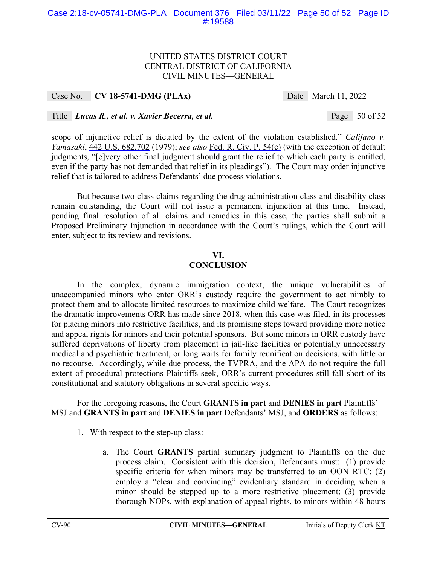## Case 2:18-cv-05741-DMG-PLA Document 376 Filed 03/11/22 Page 50 of 52 Page ID #:19588

#### UNITED STATES DISTRICT COURT CENTRAL DISTRICT OF CALIFORNIA CIVIL MINUTES—GENERAL

|  | Case No. $CV$ 18-5741-DMG (PLAx)                 | Date March 11, 2022 |                 |
|--|--------------------------------------------------|---------------------|-----------------|
|  |                                                  |                     |                 |
|  | Title Lucas R., et al. v. Xavier Becerra, et al. |                     | Page $50$ of 52 |

scope of injunctive relief is dictated by the extent of the violation established." *Califano v. Yamasaki*, 442 U.S. 682,702 (1979); *see also* Fed. R. Civ. P. 54(c) (with the exception of default judgments, "[e]very other final judgment should grant the relief to which each party is entitled, even if the party has not demanded that relief in its pleadings"). The Court may order injunctive relief that is tailored to address Defendants' due process violations.

But because two class claims regarding the drug administration class and disability class remain outstanding, the Court will not issue a permanent injunction at this time. Instead, pending final resolution of all claims and remedies in this case, the parties shall submit a Proposed Preliminary Injunction in accordance with the Court's rulings, which the Court will enter, subject to its review and revisions.

# **VI.**

# **CONCLUSION**

 In the complex, dynamic immigration context, the unique vulnerabilities of unaccompanied minors who enter ORR's custody require the government to act nimbly to protect them and to allocate limited resources to maximize child welfare. The Court recognizes the dramatic improvements ORR has made since 2018, when this case was filed, in its processes for placing minors into restrictive facilities, and its promising steps toward providing more notice and appeal rights for minors and their potential sponsors. But some minors in ORR custody have suffered deprivations of liberty from placement in jail-like facilities or potentially unnecessary medical and psychiatric treatment, or long waits for family reunification decisions, with little or no recourse. Accordingly, while due process, the TVPRA, and the APA do not require the full extent of procedural protections Plaintiffs seek, ORR's current procedures still fall short of its constitutional and statutory obligations in several specific ways.

For the foregoing reasons, the Court **GRANTS in part** and **DENIES in part** Plaintiffs' MSJ and **GRANTS in part** and **DENIES in part** Defendants' MSJ, and **ORDERS** as follows:

- 1. With respect to the step-up class:
	- a. The Court **GRANTS** partial summary judgment to Plaintiffs on the due process claim. Consistent with this decision, Defendants must: (1) provide specific criteria for when minors may be transferred to an OON RTC; (2) employ a "clear and convincing" evidentiary standard in deciding when a minor should be stepped up to a more restrictive placement; (3) provide thorough NOPs, with explanation of appeal rights, to minors within 48 hours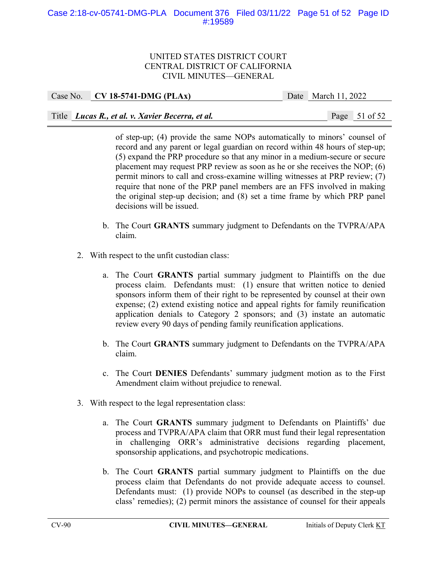# Case 2:18-cv-05741-DMG-PLA Document 376 Filed 03/11/22 Page 51 of 52 Page ID #:19589

## UNITED STATES DISTRICT COURT CENTRAL DISTRICT OF CALIFORNIA CIVIL MINUTES—GENERAL

| Case No. CV 18-5741-DMG (PLAx) |                                                  | Date March 11, 2022 |                 |
|--------------------------------|--------------------------------------------------|---------------------|-----------------|
|                                |                                                  |                     |                 |
|                                | Title Lucas R., et al. v. Xavier Becerra, et al. |                     | Page $51$ of 52 |

of step-up; (4) provide the same NOPs automatically to minors' counsel of record and any parent or legal guardian on record within 48 hours of step-up; (5) expand the PRP procedure so that any minor in a medium-secure or secure placement may request PRP review as soon as he or she receives the NOP; (6) permit minors to call and cross-examine willing witnesses at PRP review; (7) require that none of the PRP panel members are an FFS involved in making the original step-up decision; and (8) set a time frame by which PRP panel decisions will be issued.

- b. The Court **GRANTS** summary judgment to Defendants on the TVPRA/APA claim.
- 2. With respect to the unfit custodian class:
	- a. The Court **GRANTS** partial summary judgment to Plaintiffs on the due process claim. Defendants must: (1) ensure that written notice to denied sponsors inform them of their right to be represented by counsel at their own expense; (2) extend existing notice and appeal rights for family reunification application denials to Category 2 sponsors; and (3) instate an automatic review every 90 days of pending family reunification applications.
	- b. The Court **GRANTS** summary judgment to Defendants on the TVPRA/APA claim.
	- c. The Court **DENIES** Defendants' summary judgment motion as to the First Amendment claim without prejudice to renewal.
- 3. With respect to the legal representation class:
	- a. The Court **GRANTS** summary judgment to Defendants on Plaintiffs' due process and TVPRA/APA claim that ORR must fund their legal representation in challenging ORR's administrative decisions regarding placement, sponsorship applications, and psychotropic medications.
	- b. The Court **GRANTS** partial summary judgment to Plaintiffs on the due process claim that Defendants do not provide adequate access to counsel. Defendants must: (1) provide NOPs to counsel (as described in the step-up class' remedies); (2) permit minors the assistance of counsel for their appeals